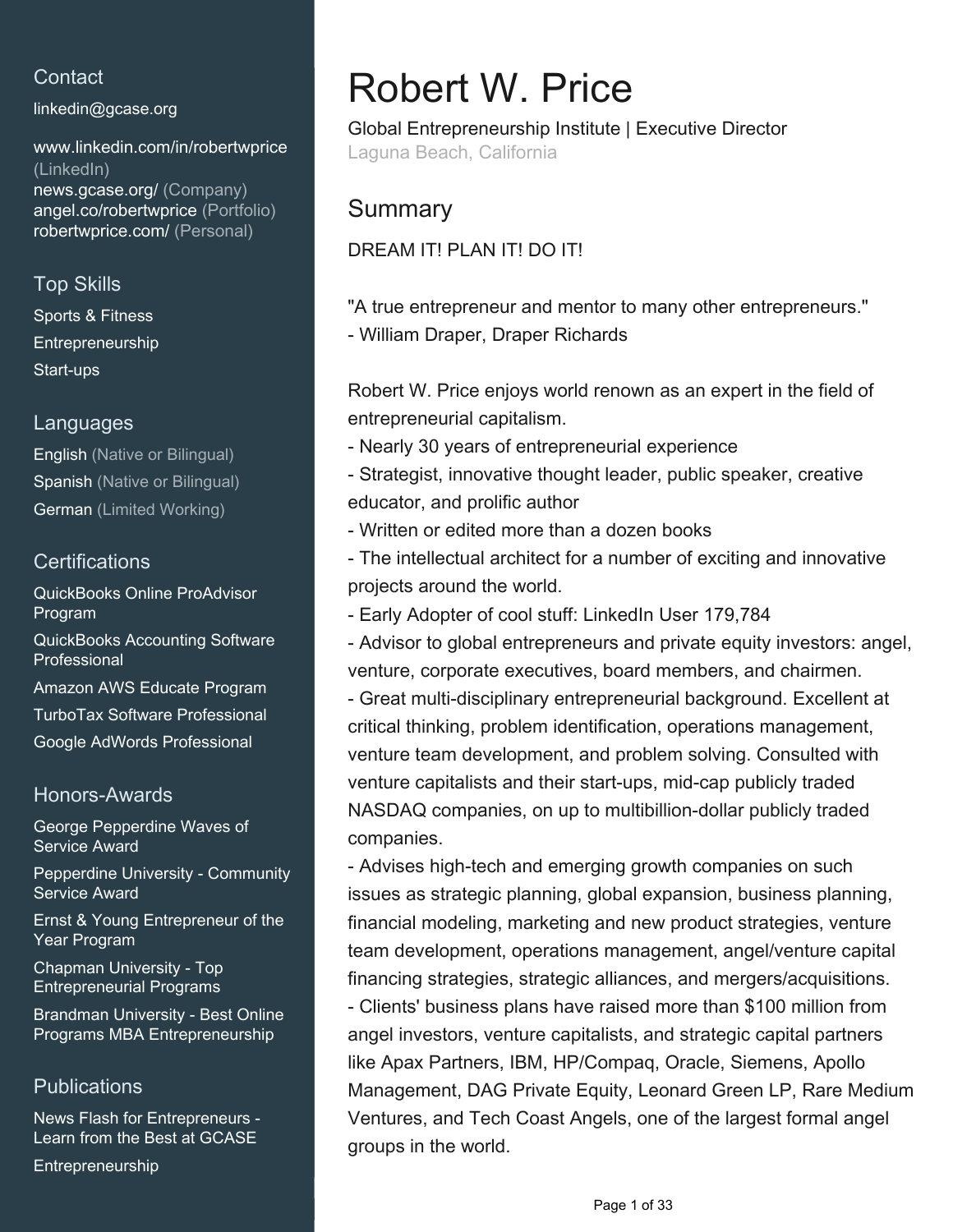## **Contact**

[linkedin@gcase.org](mailto:linkedin@gcase.org)

[www.linkedin.com/in/robertwprice](https://www.linkedin.com/in/robertwprice?jobid=1234&lipi=urn%3Ali%3Apage%3Ad_jobs_easyapply_pdfgenresume%3BJNh4nKT%2FRu%2BqR2y1oGFnjg%3D%3D&licu=urn%3Ali%3Acontrol%3Ad_jobs_easyapply_pdfgenresume-v02_profile) [\(LinkedIn\)](https://www.linkedin.com/in/robertwprice?jobid=1234&lipi=urn%3Ali%3Apage%3Ad_jobs_easyapply_pdfgenresume%3BJNh4nKT%2FRu%2BqR2y1oGFnjg%3D%3D&licu=urn%3Ali%3Acontrol%3Ad_jobs_easyapply_pdfgenresume-v02_profile) [news.gcase.org/ \(Company\)](https://news.gcase.org/) [angel.co/robertwprice \(Portfolio\)](https://angel.co/robertwprice) [robertwprice.com/ \(Personal\)](https://robertwprice.com/)

## Top Skills

Sports & Fitness Entrepreneurship Start-ups

## Languages

English (Native or Bilingual) Spanish (Native or Bilingual) German (Limited Working)

## **Certifications**

QuickBooks Online ProAdvisor Program QuickBooks Accounting Software Professional Amazon AWS Educate Program TurboTax Software Professional Google AdWords Professional

## Honors-Awards

George Pepperdine Waves of Service Award

Pepperdine University - Community Service Award

Ernst & Young Entrepreneur of the Year Program

Chapman University - Top Entrepreneurial Programs

Brandman University - Best Online Programs MBA Entrepreneurship

## **Publications**

News Flash for Entrepreneurs - Learn from the Best at GCASE

Entrepreneurship

# Robert W. Price

Global Entrepreneurship Institute | Executive Director Laguna Beach, California

# **Summary**

## DREAM IT! PLAN IT! DO IT!

"A true entrepreneur and mentor to many other entrepreneurs." - William Draper, Draper Richards

Robert W. Price enjoys world renown as an expert in the field of entrepreneurial capitalism.

- Nearly 30 years of entrepreneurial experience

- Strategist, innovative thought leader, public speaker, creative educator, and prolific author

- Written or edited more than a dozen books

- The intellectual architect for a number of exciting and innovative projects around the world.

- Early Adopter of cool stuff: LinkedIn User 179,784

- Advisor to global entrepreneurs and private equity investors: angel, venture, corporate executives, board members, and chairmen.

- Great multi-disciplinary entrepreneurial background. Excellent at critical thinking, problem identification, operations management, venture team development, and problem solving. Consulted with venture capitalists and their start-ups, mid-cap publicly traded NASDAQ companies, on up to multibillion-dollar publicly traded companies.

- Advises high-tech and emerging growth companies on such issues as strategic planning, global expansion, business planning, financial modeling, marketing and new product strategies, venture team development, operations management, angel/venture capital financing strategies, strategic alliances, and mergers/acquisitions. - Clients' business plans have raised more than \$100 million from angel investors, venture capitalists, and strategic capital partners like Apax Partners, IBM, HP/Compaq, Oracle, Siemens, Apollo Management, DAG Private Equity, Leonard Green LP, Rare Medium Ventures, and Tech Coast Angels, one of the largest formal angel groups in the world.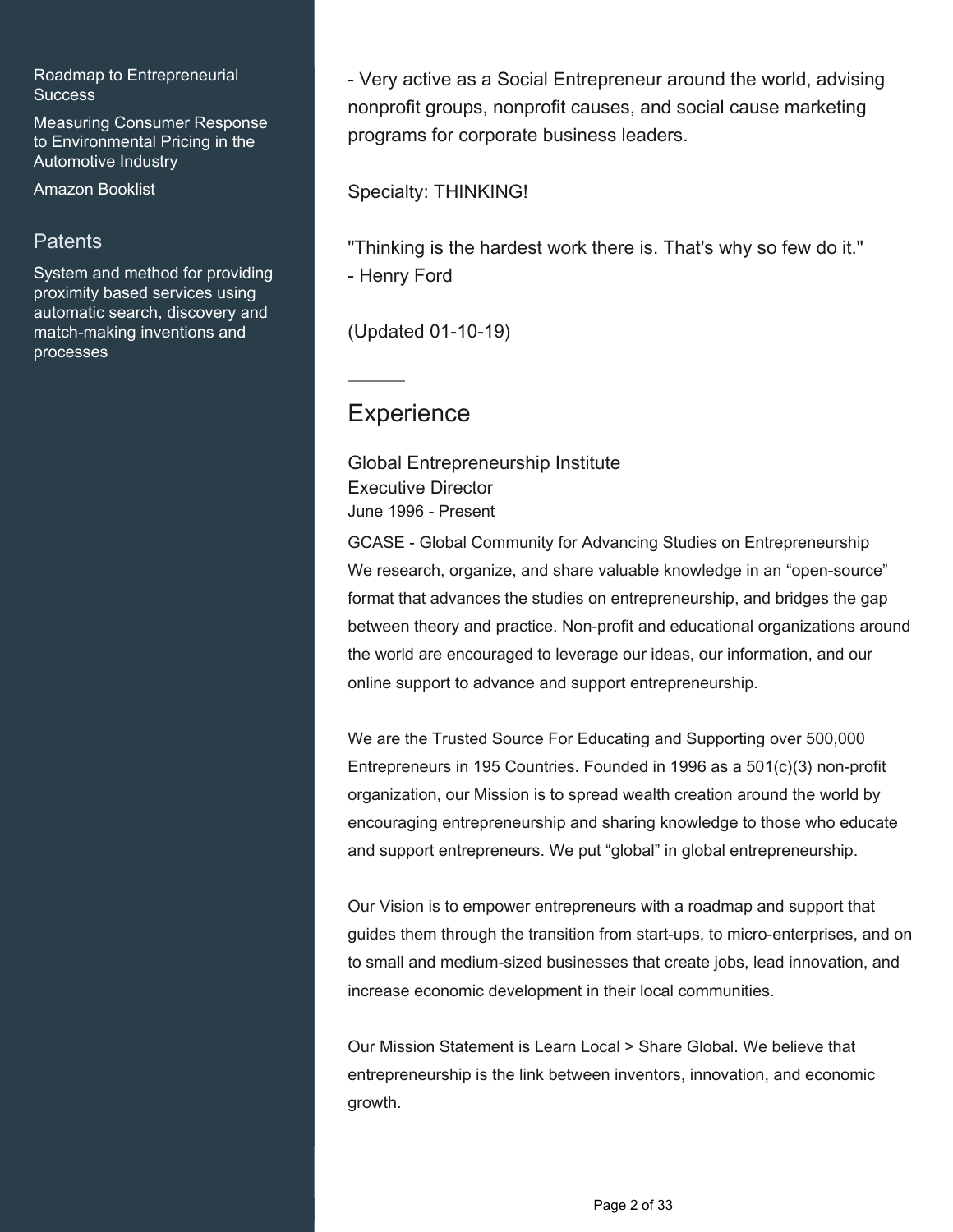Roadmap to Entrepreneurial **Success** 

Measuring Consumer Response to Environmental Pricing in the Automotive Industry

Amazon Booklist

## **Patents**

System and method for providing proximity based services using automatic search, discovery and match-making inventions and processes

- Very active as a Social Entrepreneur around the world, advising nonprofit groups, nonprofit causes, and social cause marketing programs for corporate business leaders.

Specialty: THINKING!

"Thinking is the hardest work there is. That's why so few do it." - Henry Ford

(Updated 01-10-19)

## **Experience**

Global Entrepreneurship Institute Executive Director June 1996 - Present

GCASE - Global Community for Advancing Studies on Entrepreneurship We research, organize, and share valuable knowledge in an "open-source" format that advances the studies on entrepreneurship, and bridges the gap between theory and practice. Non-profit and educational organizations around the world are encouraged to leverage our ideas, our information, and our online support to advance and support entrepreneurship.

We are the Trusted Source For Educating and Supporting over 500,000 Entrepreneurs in 195 Countries. Founded in 1996 as a 501(c)(3) non-profit organization, our Mission is to spread wealth creation around the world by encouraging entrepreneurship and sharing knowledge to those who educate and support entrepreneurs. We put "global" in global entrepreneurship.

Our Vision is to empower entrepreneurs with a roadmap and support that guides them through the transition from start-ups, to micro-enterprises, and on to small and medium-sized businesses that create jobs, lead innovation, and increase economic development in their local communities.

Our Mission Statement is Learn Local > Share Global. We believe that entrepreneurship is the link between inventors, innovation, and economic growth.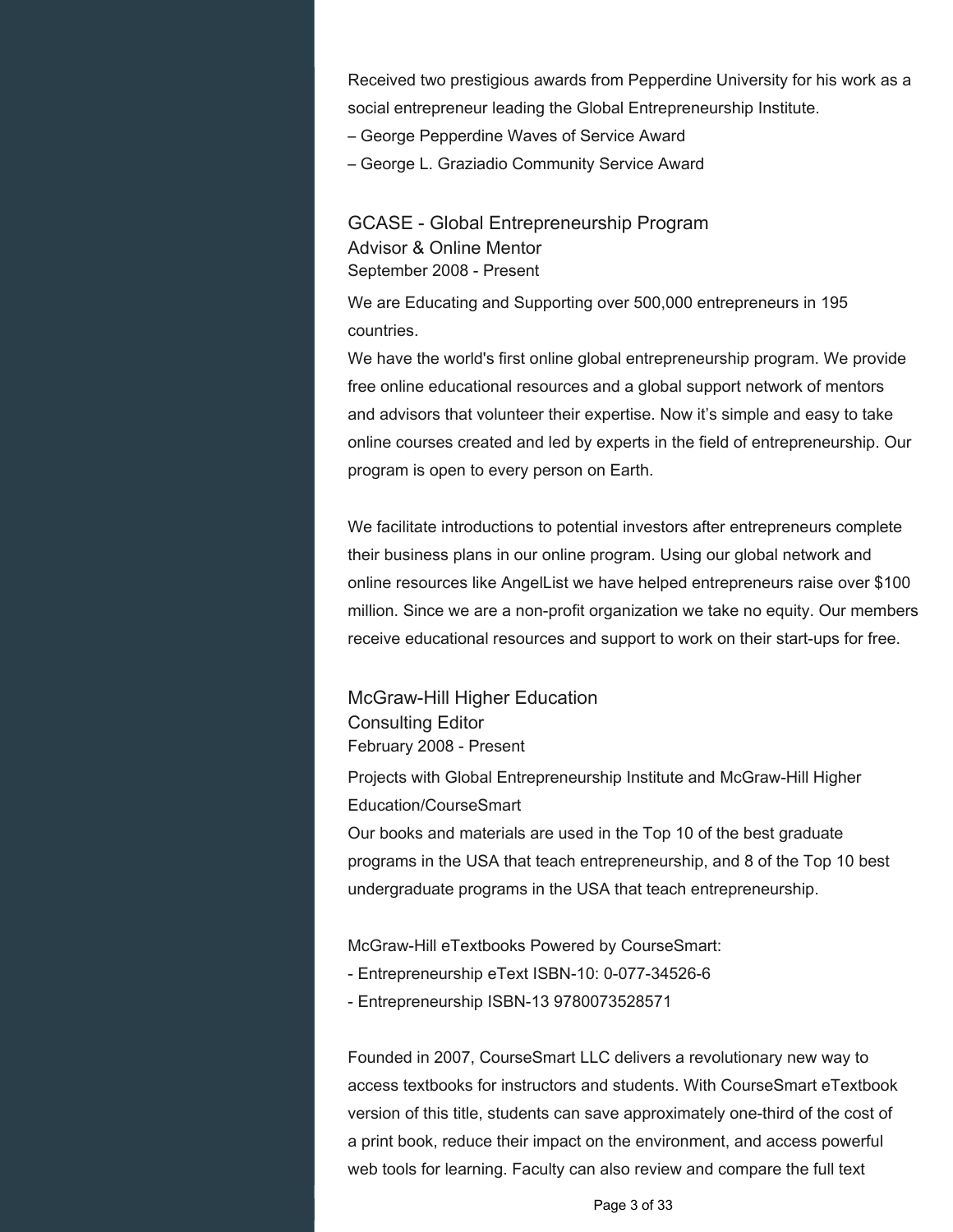Received two prestigious awards from Pepperdine University for his work as a social entrepreneur leading the Global Entrepreneurship Institute.

– George Pepperdine Waves of Service Award

– George L. Graziadio Community Service Award

GCASE - Global Entrepreneurship Program Advisor & Online Mentor September 2008 - Present

We are Educating and Supporting over 500,000 entrepreneurs in 195 countries.

We have the world's first online global entrepreneurship program. We provide free online educational resources and a global support network of mentors and advisors that volunteer their expertise. Now it's simple and easy to take online courses created and led by experts in the field of entrepreneurship. Our program is open to every person on Earth.

We facilitate introductions to potential investors after entrepreneurs complete their business plans in our online program. Using our global network and online resources like AngelList we have helped entrepreneurs raise over \$100 million. Since we are a non-profit organization we take no equity. Our members receive educational resources and support to work on their start-ups for free.

McGraw-Hill Higher Education Consulting Editor February 2008 - Present

Projects with Global Entrepreneurship Institute and McGraw-Hill Higher Education/CourseSmart

Our books and materials are used in the Top 10 of the best graduate programs in the USA that teach entrepreneurship, and 8 of the Top 10 best undergraduate programs in the USA that teach entrepreneurship.

McGraw-Hill eTextbooks Powered by CourseSmart:

- Entrepreneurship eText ISBN-10: 0-077-34526-6
- Entrepreneurship ISBN-13 9780073528571

Founded in 2007, CourseSmart LLC delivers a revolutionary new way to access textbooks for instructors and students. With CourseSmart eTextbook version of this title, students can save approximately one-third of the cost of a print book, reduce their impact on the environment, and access powerful web tools for learning. Faculty can also review and compare the full text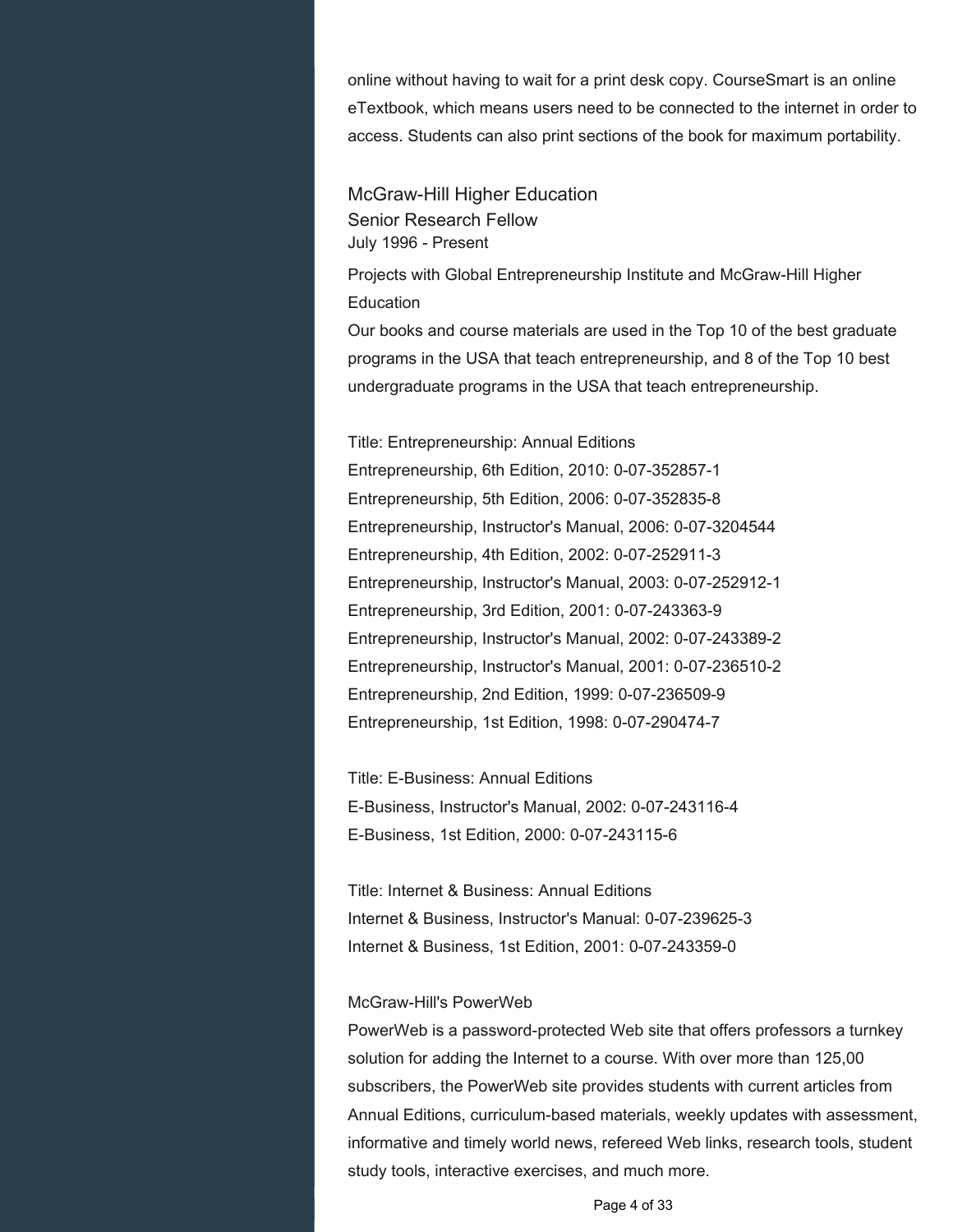online without having to wait for a print desk copy. CourseSmart is an online eTextbook, which means users need to be connected to the internet in order to access. Students can also print sections of the book for maximum portability.

McGraw-Hill Higher Education Senior Research Fellow July 1996 - Present

Projects with Global Entrepreneurship Institute and McGraw-Hill Higher **Education** 

Our books and course materials are used in the Top 10 of the best graduate programs in the USA that teach entrepreneurship, and 8 of the Top 10 best undergraduate programs in the USA that teach entrepreneurship.

Title: Entrepreneurship: Annual Editions Entrepreneurship, 6th Edition, 2010: 0-07-352857-1 Entrepreneurship, 5th Edition, 2006: 0-07-352835-8 Entrepreneurship, Instructor's Manual, 2006: 0-07-3204544 Entrepreneurship, 4th Edition, 2002: 0-07-252911-3 Entrepreneurship, Instructor's Manual, 2003: 0-07-252912-1 Entrepreneurship, 3rd Edition, 2001: 0-07-243363-9 Entrepreneurship, Instructor's Manual, 2002: 0-07-243389-2 Entrepreneurship, Instructor's Manual, 2001: 0-07-236510-2 Entrepreneurship, 2nd Edition, 1999: 0-07-236509-9 Entrepreneurship, 1st Edition, 1998: 0-07-290474-7

Title: E-Business: Annual Editions E-Business, Instructor's Manual, 2002: 0-07-243116-4 E-Business, 1st Edition, 2000: 0-07-243115-6

Title: Internet & Business: Annual Editions Internet & Business, Instructor's Manual: 0-07-239625-3 Internet & Business, 1st Edition, 2001: 0-07-243359-0

#### McGraw-Hill's PowerWeb

PowerWeb is a password-protected Web site that offers professors a turnkey solution for adding the Internet to a course. With over more than 125,00 subscribers, the PowerWeb site provides students with current articles from Annual Editions, curriculum-based materials, weekly updates with assessment, informative and timely world news, refereed Web links, research tools, student study tools, interactive exercises, and much more.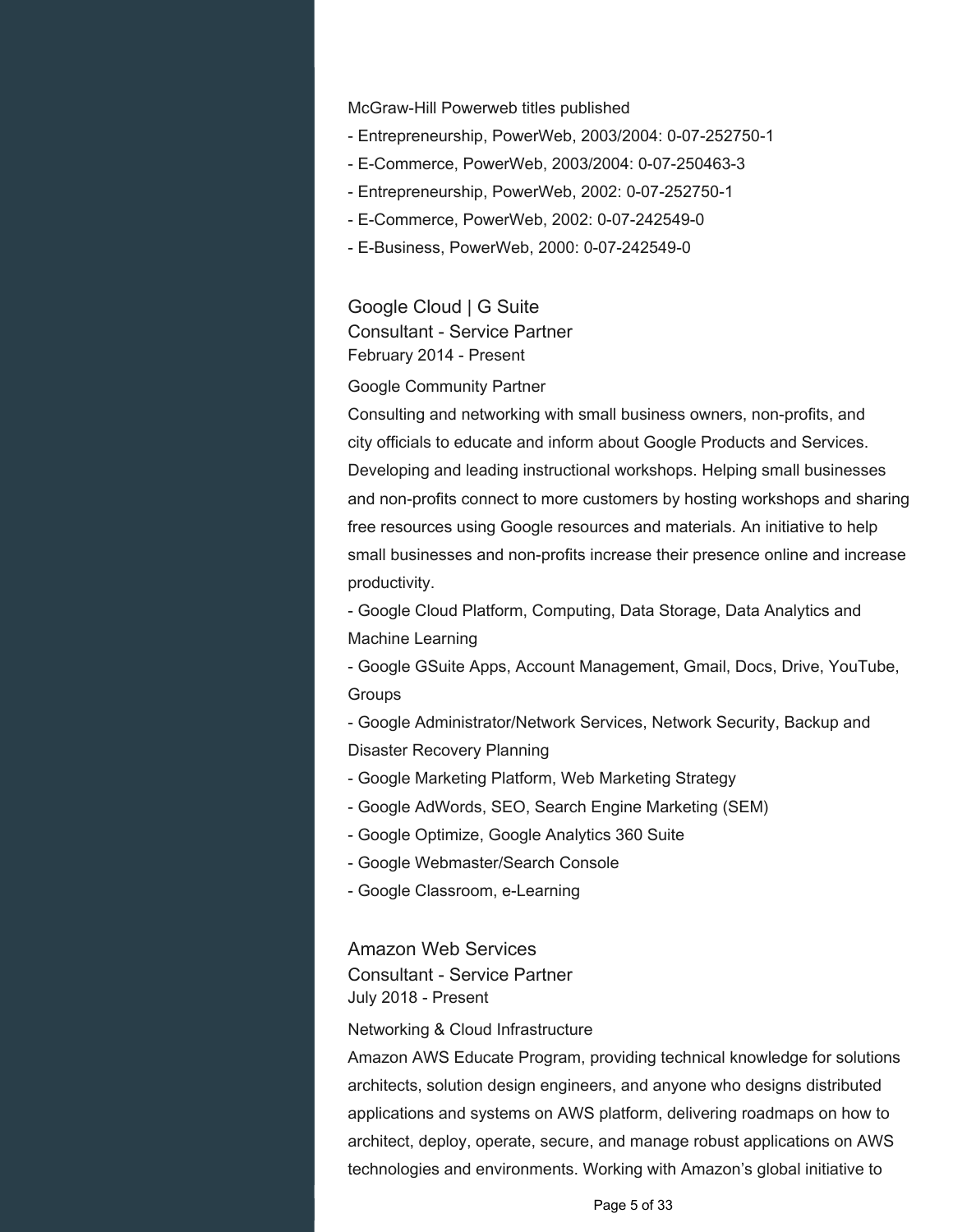McGraw-Hill Powerweb titles published

- Entrepreneurship, PowerWeb, 2003/2004: 0-07-252750-1
- E-Commerce, PowerWeb, 2003/2004: 0-07-250463-3
- Entrepreneurship, PowerWeb, 2002: 0-07-252750-1
- E-Commerce, PowerWeb, 2002: 0-07-242549-0
- E-Business, PowerWeb, 2000: 0-07-242549-0

Google Cloud | G Suite Consultant - Service Partner February 2014 - Present

#### Google Community Partner

Consulting and networking with small business owners, non-profits, and city officials to educate and inform about Google Products and Services. Developing and leading instructional workshops. Helping small businesses and non-profits connect to more customers by hosting workshops and sharing free resources using Google resources and materials. An initiative to help small businesses and non-profits increase their presence online and increase productivity.

- Google Cloud Platform, Computing, Data Storage, Data Analytics and Machine Learning

- Google GSuite Apps, Account Management, Gmail, Docs, Drive, YouTube, **Groups** 

- Google Administrator/Network Services, Network Security, Backup and Disaster Recovery Planning

- Google Marketing Platform, Web Marketing Strategy
- Google AdWords, SEO, Search Engine Marketing (SEM)
- Google Optimize, Google Analytics 360 Suite
- Google Webmaster/Search Console
- Google Classroom, e-Learning

#### Amazon Web Services

Consultant - Service Partner July 2018 - Present

#### Networking & Cloud Infrastructure

Amazon AWS Educate Program, providing technical knowledge for solutions architects, solution design engineers, and anyone who designs distributed applications and systems on AWS platform, delivering roadmaps on how to architect, deploy, operate, secure, and manage robust applications on AWS technologies and environments. Working with Amazon's global initiative to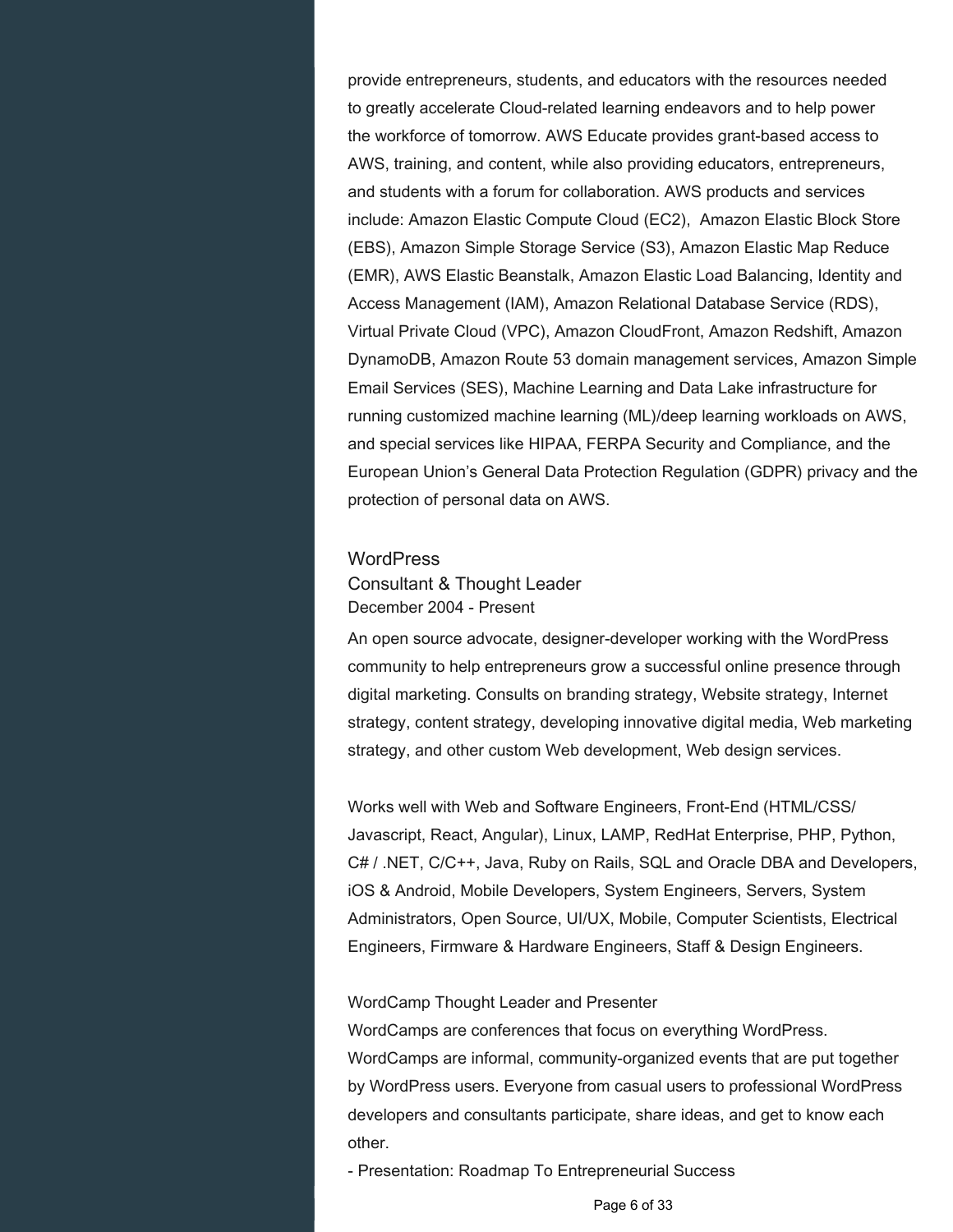provide entrepreneurs, students, and educators with the resources needed to greatly accelerate Cloud-related learning endeavors and to help power the workforce of tomorrow. AWS Educate provides grant-based access to AWS, training, and content, while also providing educators, entrepreneurs, and students with a forum for collaboration. AWS products and services include: Amazon Elastic Compute Cloud (EC2), Amazon Elastic Block Store (EBS), Amazon Simple Storage Service (S3), Amazon Elastic Map Reduce (EMR), AWS Elastic Beanstalk, Amazon Elastic Load Balancing, Identity and Access Management (IAM), Amazon Relational Database Service (RDS), Virtual Private Cloud (VPC), Amazon CloudFront, Amazon Redshift, Amazon DynamoDB, Amazon Route 53 domain management services, Amazon Simple Email Services (SES), Machine Learning and Data Lake infrastructure for running customized machine learning (ML)/deep learning workloads on AWS, and special services like HIPAA, FERPA Security and Compliance, and the European Union's General Data Protection Regulation (GDPR) privacy and the protection of personal data on AWS.

#### **WordPress**

Consultant & Thought Leader December 2004 - Present

An open source advocate, designer-developer working with the WordPress community to help entrepreneurs grow a successful online presence through digital marketing. Consults on branding strategy, Website strategy, Internet strategy, content strategy, developing innovative digital media, Web marketing strategy, and other custom Web development, Web design services.

Works well with Web and Software Engineers, Front-End (HTML/CSS/ Javascript, React, Angular), Linux, LAMP, RedHat Enterprise, PHP, Python, C# / .NET, C/C++, Java, Ruby on Rails, SQL and Oracle DBA and Developers, iOS & Android, Mobile Developers, System Engineers, Servers, System Administrators, Open Source, UI/UX, Mobile, Computer Scientists, Electrical Engineers, Firmware & Hardware Engineers, Staff & Design Engineers.

#### WordCamp Thought Leader and Presenter

WordCamps are conferences that focus on everything WordPress. WordCamps are informal, community-organized events that are put together by WordPress users. Everyone from casual users to professional WordPress developers and consultants participate, share ideas, and get to know each other.

- Presentation: Roadmap To Entrepreneurial Success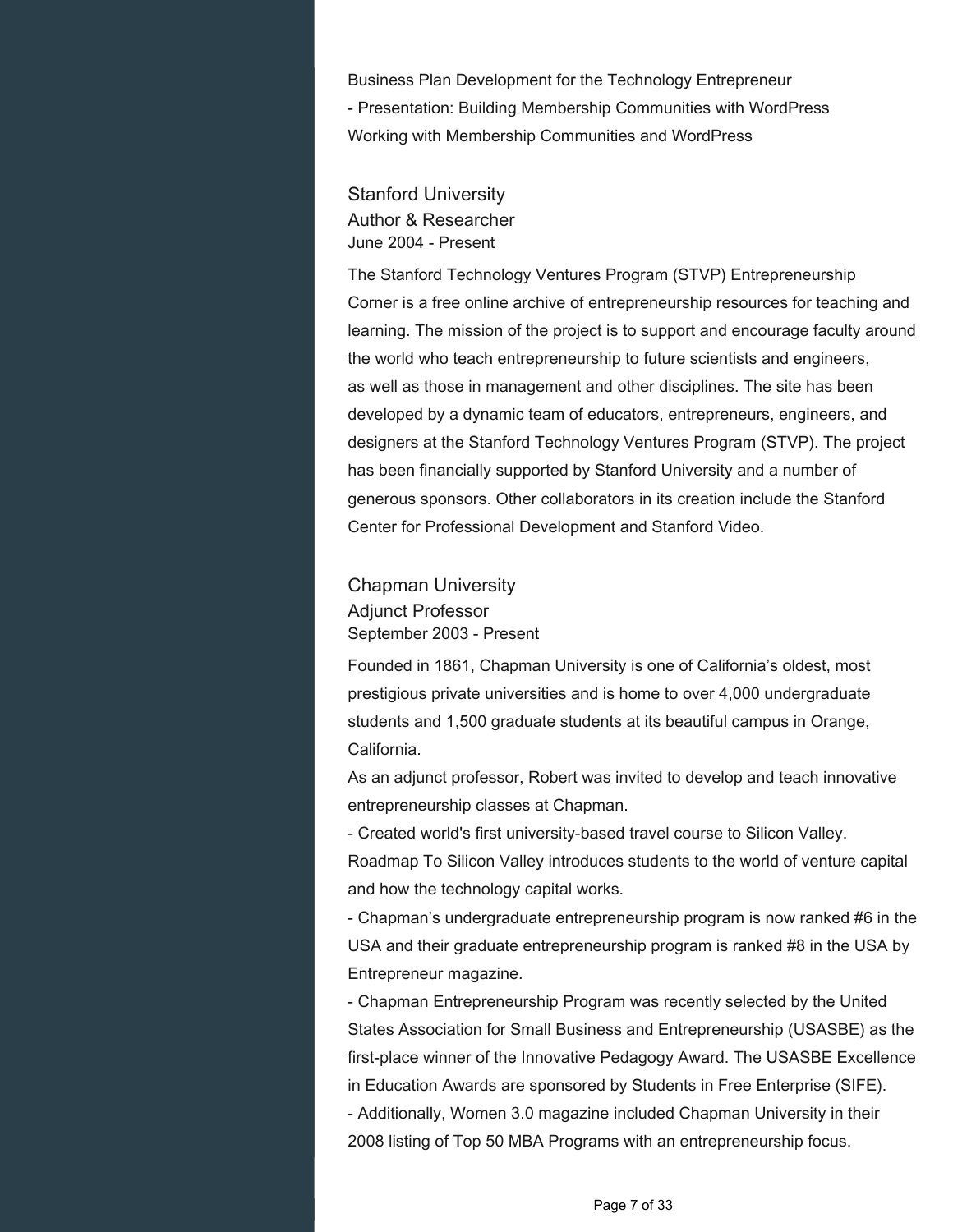Business Plan Development for the Technology Entrepreneur - Presentation: Building Membership Communities with WordPress Working with Membership Communities and WordPress

Stanford University Author & Researcher June 2004 - Present

The Stanford Technology Ventures Program (STVP) Entrepreneurship Corner is a free online archive of entrepreneurship resources for teaching and learning. The mission of the project is to support and encourage faculty around the world who teach entrepreneurship to future scientists and engineers, as well as those in management and other disciplines. The site has been developed by a dynamic team of educators, entrepreneurs, engineers, and designers at the Stanford Technology Ventures Program (STVP). The project has been financially supported by Stanford University and a number of generous sponsors. Other collaborators in its creation include the Stanford Center for Professional Development and Stanford Video.

Chapman University Adjunct Professor September 2003 - Present

Founded in 1861, Chapman University is one of California's oldest, most prestigious private universities and is home to over 4,000 undergraduate students and 1,500 graduate students at its beautiful campus in Orange, California.

As an adjunct professor, Robert was invited to develop and teach innovative entrepreneurship classes at Chapman.

- Created world's first university-based travel course to Silicon Valley.

Roadmap To Silicon Valley introduces students to the world of venture capital and how the technology capital works.

- Chapman's undergraduate entrepreneurship program is now ranked #6 in the USA and their graduate entrepreneurship program is ranked #8 in the USA by Entrepreneur magazine.

- Chapman Entrepreneurship Program was recently selected by the United States Association for Small Business and Entrepreneurship (USASBE) as the first-place winner of the Innovative Pedagogy Award. The USASBE Excellence in Education Awards are sponsored by Students in Free Enterprise (SIFE). - Additionally, Women 3.0 magazine included Chapman University in their 2008 listing of Top 50 MBA Programs with an entrepreneurship focus.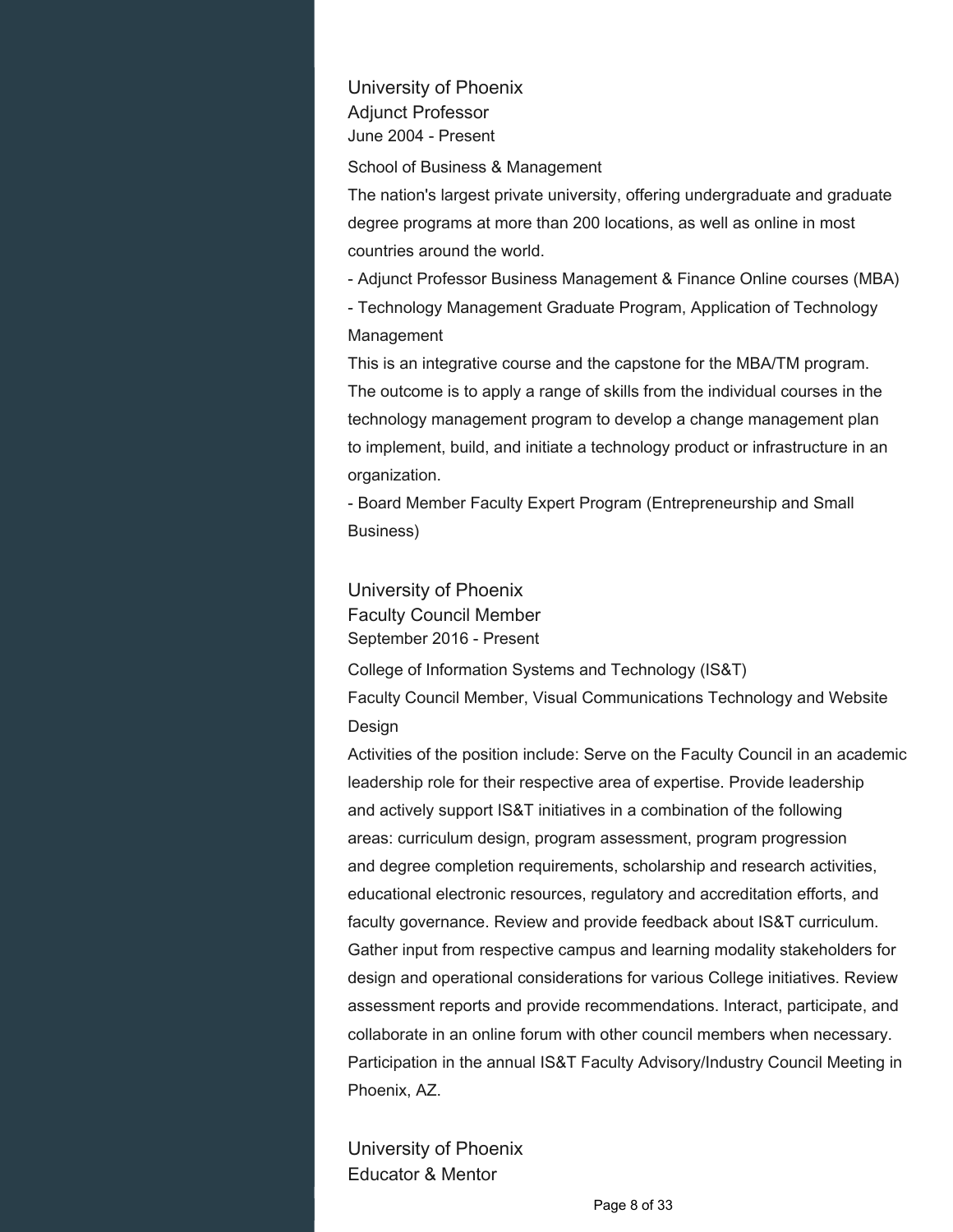University of Phoenix Adjunct Professor June 2004 - Present

School of Business & Management

The nation's largest private university, offering undergraduate and graduate degree programs at more than 200 locations, as well as online in most countries around the world.

- Adjunct Professor Business Management & Finance Online courses (MBA)

- Technology Management Graduate Program, Application of Technology Management

This is an integrative course and the capstone for the MBA/TM program. The outcome is to apply a range of skills from the individual courses in the technology management program to develop a change management plan to implement, build, and initiate a technology product or infrastructure in an organization.

- Board Member Faculty Expert Program (Entrepreneurship and Small Business)

University of Phoenix Faculty Council Member September 2016 - Present

College of Information Systems and Technology (IS&T) Faculty Council Member, Visual Communications Technology and Website Design

Activities of the position include: Serve on the Faculty Council in an academic leadership role for their respective area of expertise. Provide leadership and actively support IS&T initiatives in a combination of the following areas: curriculum design, program assessment, program progression and degree completion requirements, scholarship and research activities, educational electronic resources, regulatory and accreditation efforts, and faculty governance. Review and provide feedback about IS&T curriculum. Gather input from respective campus and learning modality stakeholders for design and operational considerations for various College initiatives. Review assessment reports and provide recommendations. Interact, participate, and collaborate in an online forum with other council members when necessary. Participation in the annual IS&T Faculty Advisory/Industry Council Meeting in Phoenix, AZ.

University of Phoenix Educator & Mentor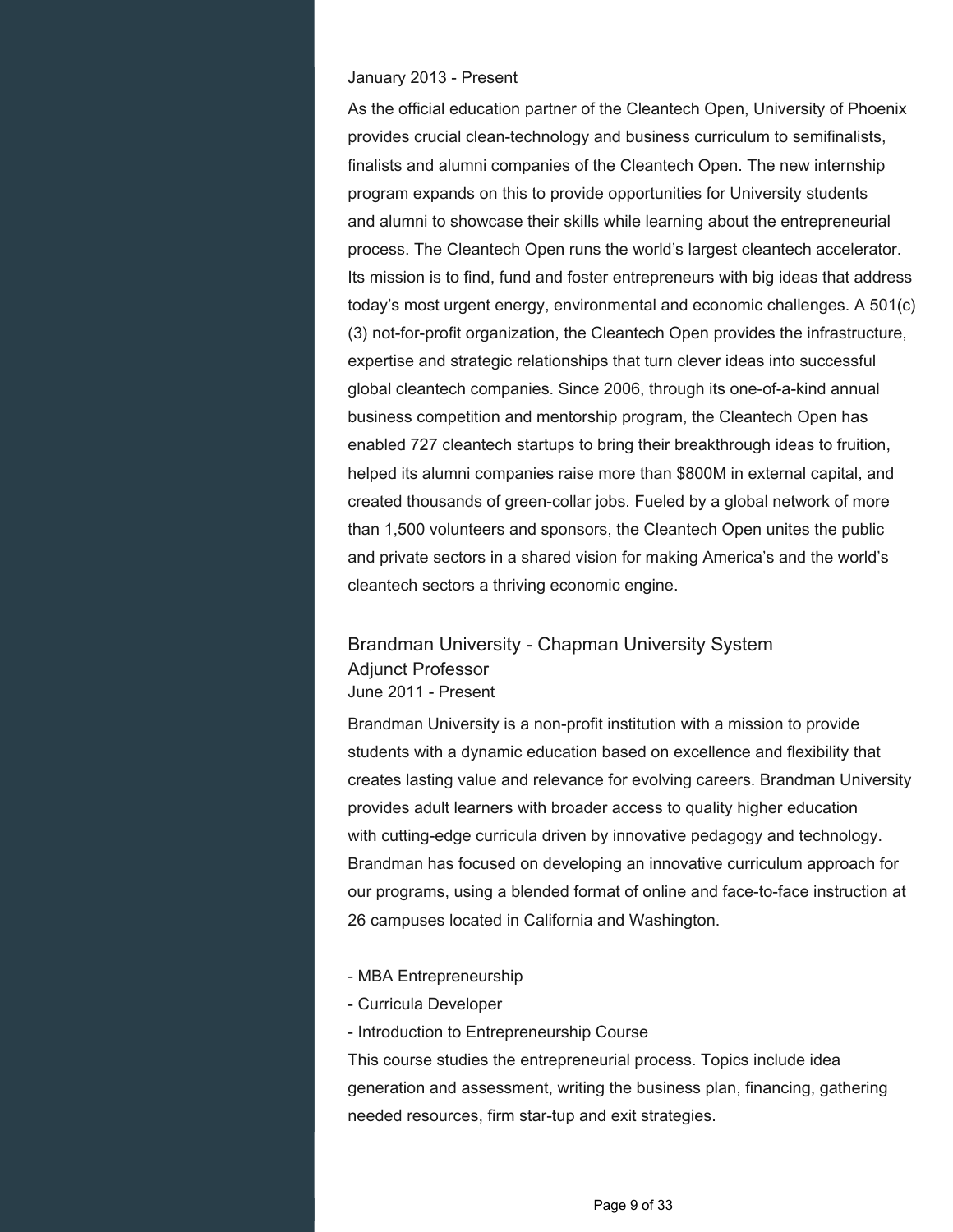#### January 2013 - Present

As the official education partner of the Cleantech Open, University of Phoenix provides crucial clean-technology and business curriculum to semifinalists, finalists and alumni companies of the Cleantech Open. The new internship program expands on this to provide opportunities for University students and alumni to showcase their skills while learning about the entrepreneurial process. The Cleantech Open runs the world's largest cleantech accelerator. Its mission is to find, fund and foster entrepreneurs with big ideas that address today's most urgent energy, environmental and economic challenges. A 501(c) (3) not-for-profit organization, the Cleantech Open provides the infrastructure, expertise and strategic relationships that turn clever ideas into successful global cleantech companies. Since 2006, through its one-of-a-kind annual business competition and mentorship program, the Cleantech Open has enabled 727 cleantech startups to bring their breakthrough ideas to fruition, helped its alumni companies raise more than \$800M in external capital, and created thousands of green-collar jobs. Fueled by a global network of more than 1,500 volunteers and sponsors, the Cleantech Open unites the public and private sectors in a shared vision for making America's and the world's cleantech sectors a thriving economic engine.

## Brandman University - Chapman University System Adjunct Professor June 2011 - Present

Brandman University is a non-profit institution with a mission to provide students with a dynamic education based on excellence and flexibility that creates lasting value and relevance for evolving careers. Brandman University provides adult learners with broader access to quality higher education with cutting-edge curricula driven by innovative pedagogy and technology. Brandman has focused on developing an innovative curriculum approach for our programs, using a blended format of online and face-to-face instruction at 26 campuses located in California and Washington.

- MBA Entrepreneurship
- Curricula Developer
- Introduction to Entrepreneurship Course

This course studies the entrepreneurial process. Topics include idea generation and assessment, writing the business plan, financing, gathering needed resources, firm star-tup and exit strategies.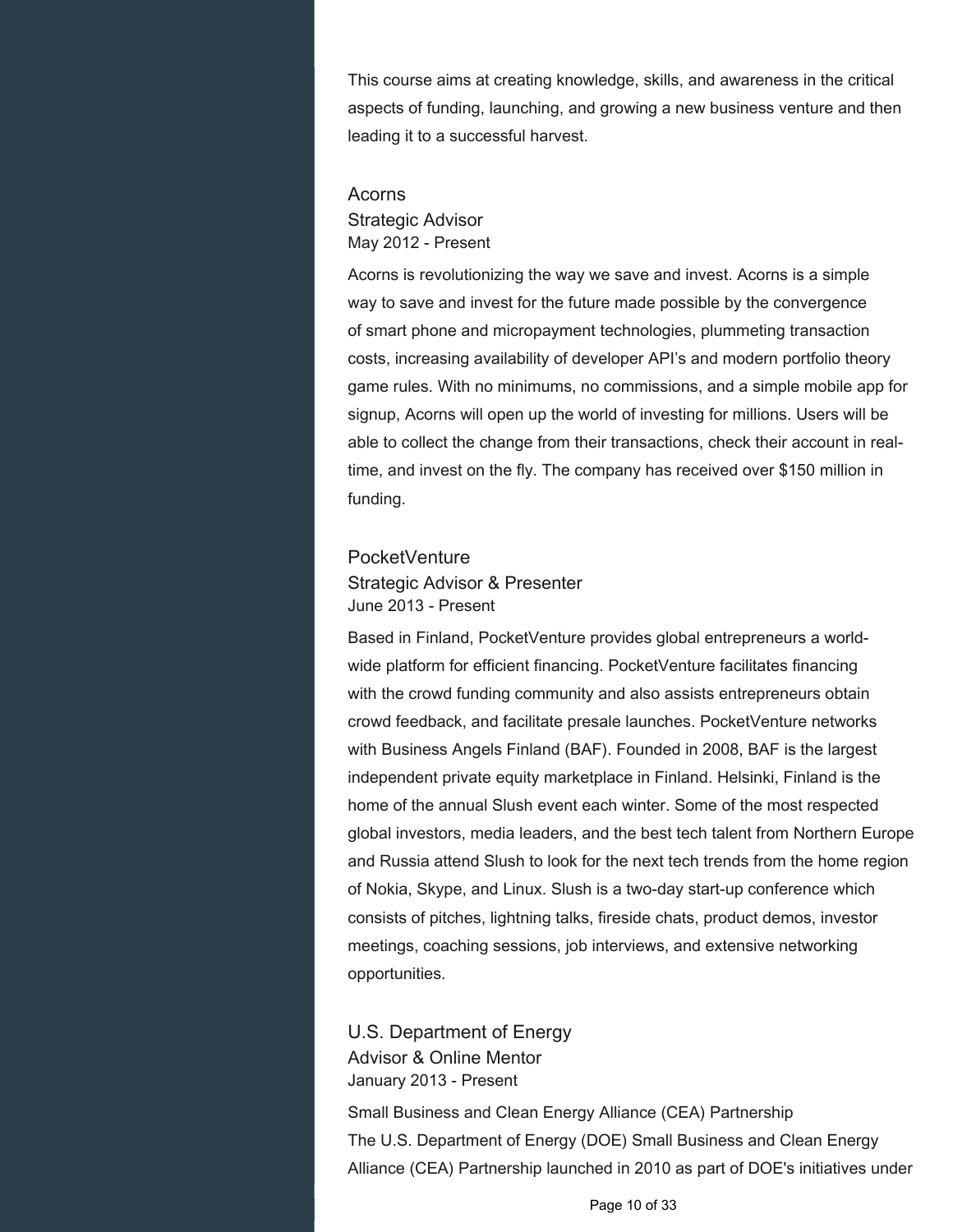This course aims at creating knowledge, skills, and awareness in the critical aspects of funding, launching, and growing a new business venture and then leading it to a successful harvest.

## Acorns Strategic Advisor May 2012 - Present

Acorns is revolutionizing the way we save and invest. Acorns is a simple way to save and invest for the future made possible by the convergence of smart phone and micropayment technologies, plummeting transaction costs, increasing availability of developer API's and modern portfolio theory game rules. With no minimums, no commissions, and a simple mobile app for signup, Acorns will open up the world of investing for millions. Users will be able to collect the change from their transactions, check their account in realtime, and invest on the fly. The company has received over \$150 million in funding.

#### **PocketVenture**

#### Strategic Advisor & Presenter June 2013 - Present

Based in Finland, PocketVenture provides global entrepreneurs a worldwide platform for efficient financing. PocketVenture facilitates financing with the crowd funding community and also assists entrepreneurs obtain crowd feedback, and facilitate presale launches. PocketVenture networks with Business Angels Finland (BAF). Founded in 2008, BAF is the largest independent private equity marketplace in Finland. Helsinki, Finland is the home of the annual Slush event each winter. Some of the most respected global investors, media leaders, and the best tech talent from Northern Europe and Russia attend Slush to look for the next tech trends from the home region of Nokia, Skype, and Linux. Slush is a two-day start-up conference which consists of pitches, lightning talks, fireside chats, product demos, investor meetings, coaching sessions, job interviews, and extensive networking opportunities.

U.S. Department of Energy Advisor & Online Mentor January 2013 - Present

Small Business and Clean Energy Alliance (CEA) Partnership The U.S. Department of Energy (DOE) Small Business and Clean Energy Alliance (CEA) Partnership launched in 2010 as part of DOE's initiatives under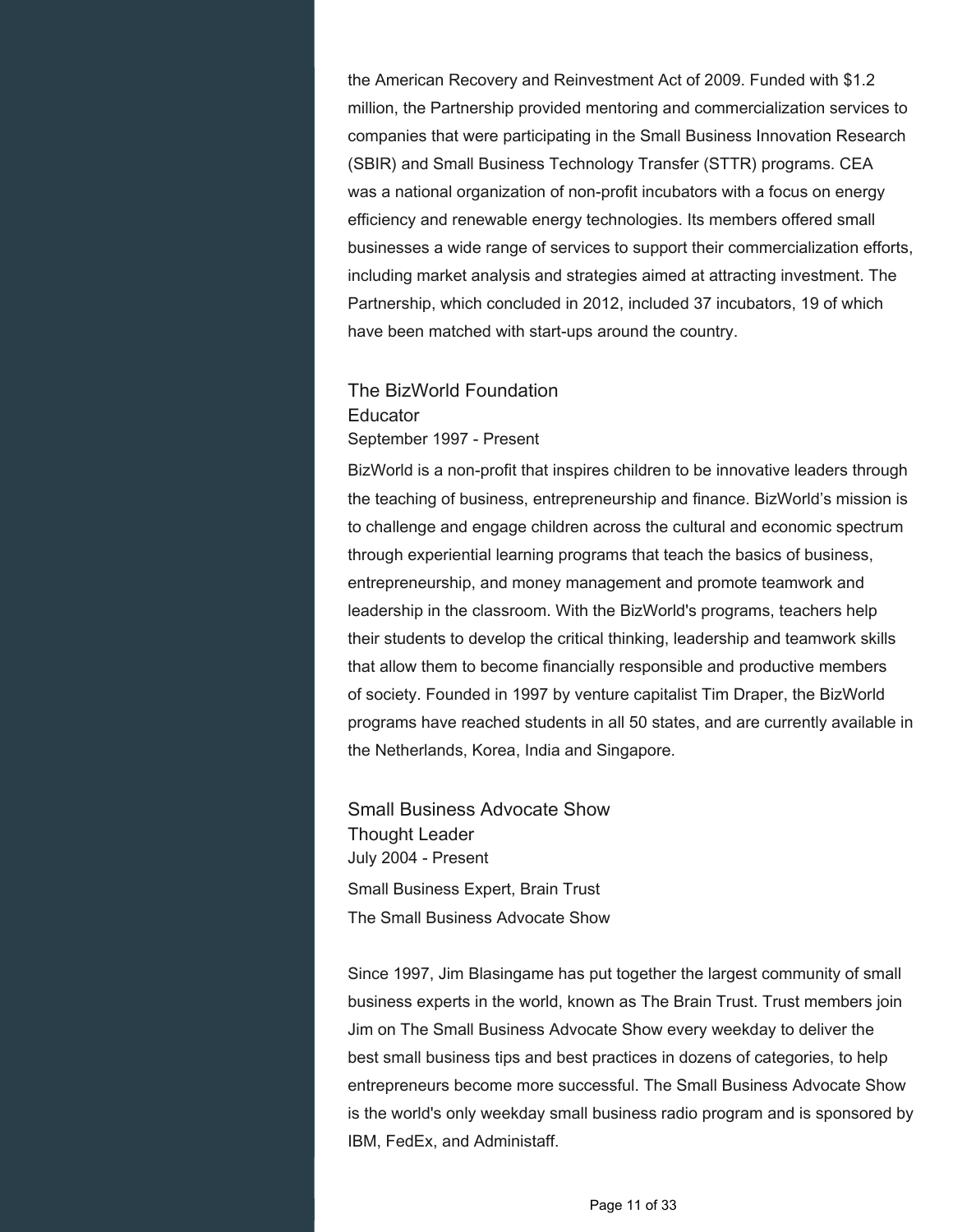the American Recovery and Reinvestment Act of 2009. Funded with \$1.2 million, the Partnership provided mentoring and commercialization services to companies that were participating in the Small Business Innovation Research (SBIR) and Small Business Technology Transfer (STTR) programs. CEA was a national organization of non-profit incubators with a focus on energy efficiency and renewable energy technologies. Its members offered small businesses a wide range of services to support their commercialization efforts, including market analysis and strategies aimed at attracting investment. The Partnership, which concluded in 2012, included 37 incubators, 19 of which have been matched with start-ups around the country.

## The BizWorld Foundation **Educator** September 1997 - Present

BizWorld is a non-profit that inspires children to be innovative leaders through the teaching of business, entrepreneurship and finance. BizWorld's mission is to challenge and engage children across the cultural and economic spectrum through experiential learning programs that teach the basics of business, entrepreneurship, and money management and promote teamwork and leadership in the classroom. With the BizWorld's programs, teachers help their students to develop the critical thinking, leadership and teamwork skills that allow them to become financially responsible and productive members of society. Founded in 1997 by venture capitalist Tim Draper, the BizWorld programs have reached students in all 50 states, and are currently available in the Netherlands, Korea, India and Singapore.

Small Business Advocate Show Thought Leader July 2004 - Present Small Business Expert, Brain Trust The Small Business Advocate Show

Since 1997, Jim Blasingame has put together the largest community of small business experts in the world, known as The Brain Trust. Trust members join Jim on The Small Business Advocate Show every weekday to deliver the best small business tips and best practices in dozens of categories, to help entrepreneurs become more successful. The Small Business Advocate Show is the world's only weekday small business radio program and is sponsored by IBM, FedEx, and Administaff.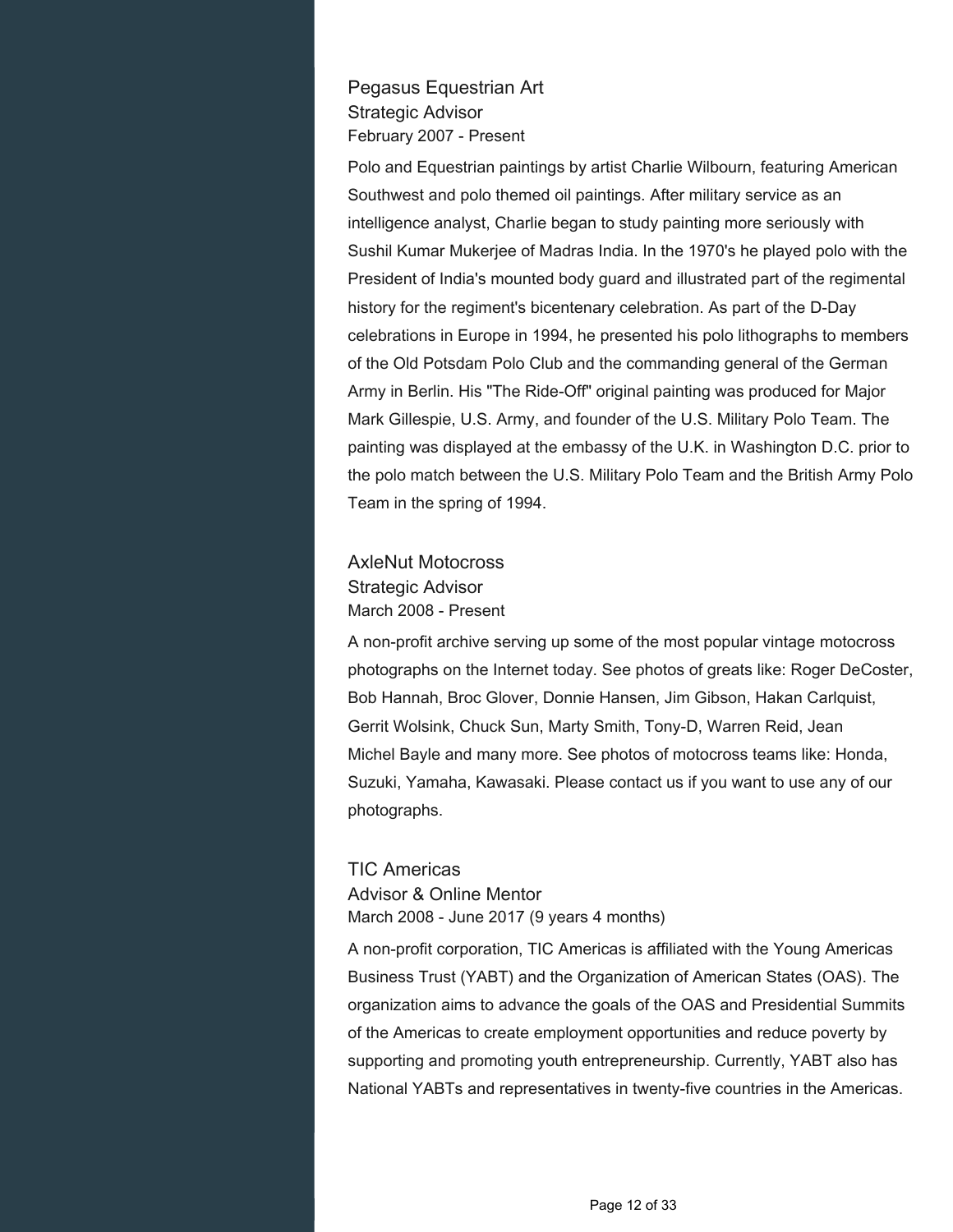## Pegasus Equestrian Art Strategic Advisor February 2007 - Present

Polo and Equestrian paintings by artist Charlie Wilbourn, featuring American Southwest and polo themed oil paintings. After military service as an intelligence analyst, Charlie began to study painting more seriously with Sushil Kumar Mukerjee of Madras India. In the 1970's he played polo with the President of India's mounted body guard and illustrated part of the regimental history for the regiment's bicentenary celebration. As part of the D-Day celebrations in Europe in 1994, he presented his polo lithographs to members of the Old Potsdam Polo Club and the commanding general of the German Army in Berlin. His "The Ride-Off" original painting was produced for Major Mark Gillespie, U.S. Army, and founder of the U.S. Military Polo Team. The painting was displayed at the embassy of the U.K. in Washington D.C. prior to the polo match between the U.S. Military Polo Team and the British Army Polo Team in the spring of 1994.

## AxleNut Motocross Strategic Advisor March 2008 - Present

A non-profit archive serving up some of the most popular vintage motocross photographs on the Internet today. See photos of greats like: Roger DeCoster, Bob Hannah, Broc Glover, Donnie Hansen, Jim Gibson, Hakan Carlquist, Gerrit Wolsink, Chuck Sun, Marty Smith, Tony-D, Warren Reid, Jean Michel Bayle and many more. See photos of motocross teams like: Honda, Suzuki, Yamaha, Kawasaki. Please contact us if you want to use any of our photographs.

## TIC Americas Advisor & Online Mentor March 2008 - June 2017 (9 years 4 months)

A non-profit corporation, TIC Americas is affiliated with the Young Americas Business Trust (YABT) and the Organization of American States (OAS). The organization aims to advance the goals of the OAS and Presidential Summits of the Americas to create employment opportunities and reduce poverty by supporting and promoting youth entrepreneurship. Currently, YABT also has National YABTs and representatives in twenty-five countries in the Americas.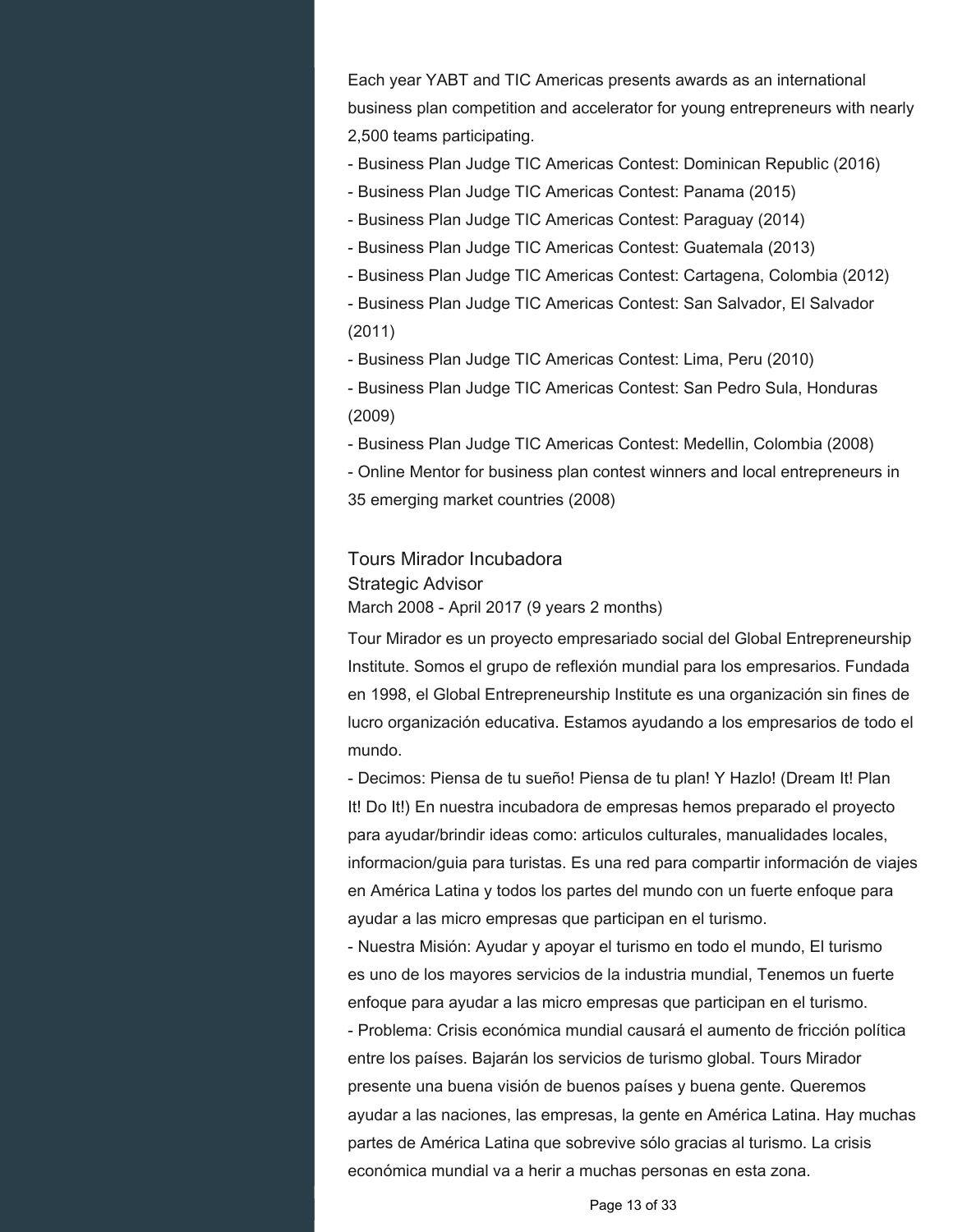Each year YABT and TIC Americas presents awards as an international business plan competition and accelerator for young entrepreneurs with nearly 2,500 teams participating.

- Business Plan Judge TIC Americas Contest: Dominican Republic (2016)

- Business Plan Judge TIC Americas Contest: Panama (2015)
- Business Plan Judge TIC Americas Contest: Paraguay (2014)
- Business Plan Judge TIC Americas Contest: Guatemala (2013)
- Business Plan Judge TIC Americas Contest: Cartagena, Colombia (2012)
- Business Plan Judge TIC Americas Contest: San Salvador, El Salvador (2011)
- Business Plan Judge TIC Americas Contest: Lima, Peru (2010)
- Business Plan Judge TIC Americas Contest: San Pedro Sula, Honduras (2009)
- Business Plan Judge TIC Americas Contest: Medellin, Colombia (2008)
- Online Mentor for business plan contest winners and local entrepreneurs in 35 emerging market countries (2008)

## Tours Mirador Incubadora Strategic Advisor March 2008 - April 2017 (9 years 2 months)

Tour Mirador es un proyecto empresariado social del Global Entrepreneurship Institute. Somos el grupo de reflexión mundial para los empresarios. Fundada en 1998, el Global Entrepreneurship Institute es una organización sin fines de lucro organización educativa. Estamos ayudando a los empresarios de todo el mundo.

- Decimos: Piensa de tu sueño! Piensa de tu plan! Y Hazlo! (Dream It! Plan It! Do It!) En nuestra incubadora de empresas hemos preparado el proyecto para ayudar/brindir ideas como: articulos culturales, manualidades locales, informacion/guia para turistas. Es una red para compartir información de viajes en América Latina y todos los partes del mundo con un fuerte enfoque para ayudar a las micro empresas que participan en el turismo.

- Nuestra Misión: Ayudar y apoyar el turismo en todo el mundo, El turismo es uno de los mayores servicios de la industria mundial, Tenemos un fuerte enfoque para ayudar a las micro empresas que participan en el turismo.

- Problema: Crisis económica mundial causará el aumento de fricción política entre los países. Bajarán los servicios de turismo global. Tours Mirador presente una buena visión de buenos países y buena gente. Queremos ayudar a las naciones, las empresas, la gente en América Latina. Hay muchas partes de América Latina que sobrevive sólo gracias al turismo. La crisis económica mundial va a herir a muchas personas en esta zona.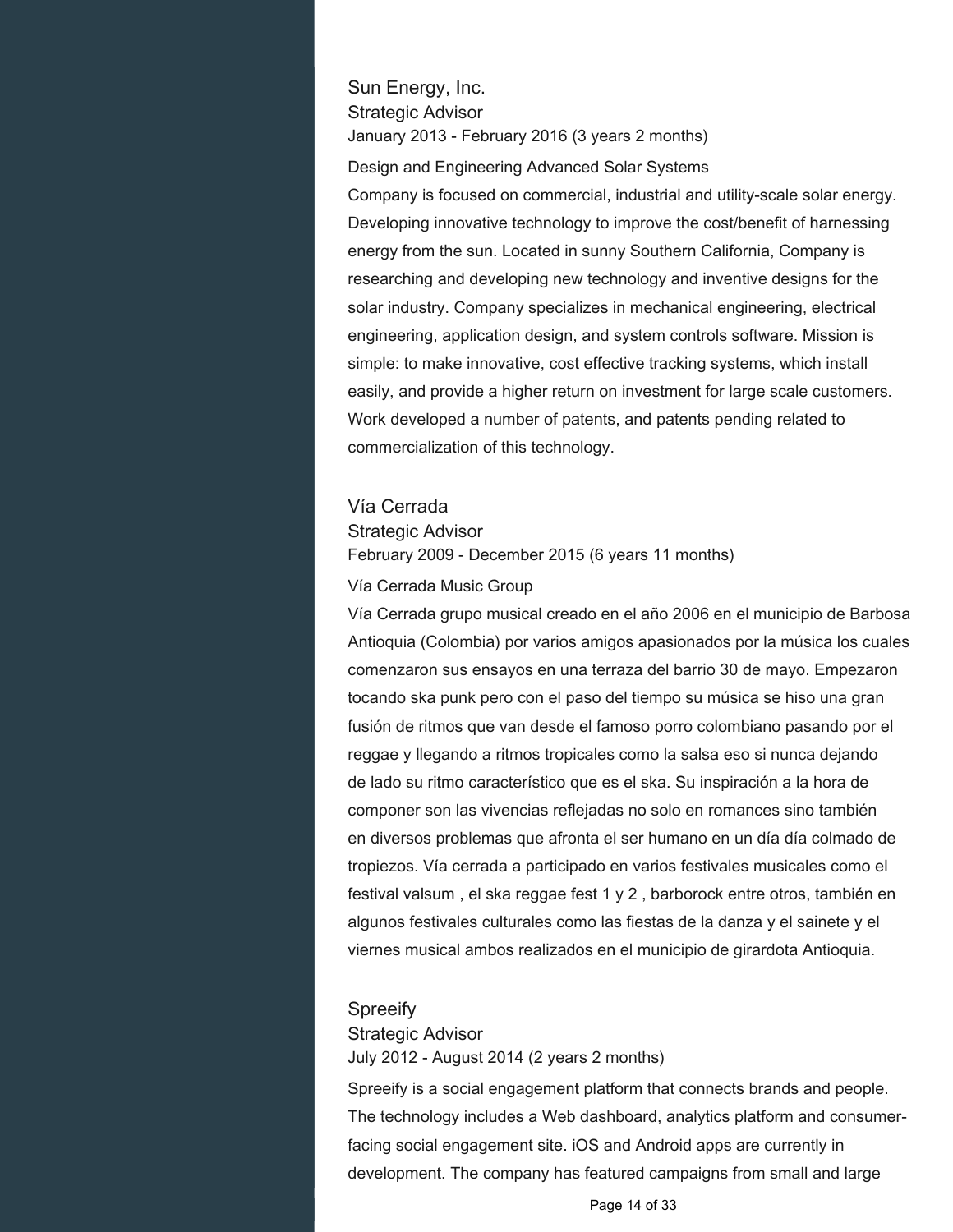## Sun Energy, Inc. Strategic Advisor January 2013 - February 2016 (3 years 2 months)

Design and Engineering Advanced Solar Systems

Company is focused on commercial, industrial and utility-scale solar energy. Developing innovative technology to improve the cost/benefit of harnessing energy from the sun. Located in sunny Southern California, Company is researching and developing new technology and inventive designs for the solar industry. Company specializes in mechanical engineering, electrical engineering, application design, and system controls software. Mission is simple: to make innovative, cost effective tracking systems, which install easily, and provide a higher return on investment for large scale customers. Work developed a number of patents, and patents pending related to commercialization of this technology.

## Vía Cerrada

#### Strategic Advisor

February 2009 - December 2015 (6 years 11 months)

#### Vía Cerrada Music Group

Vía Cerrada grupo musical creado en el año 2006 en el municipio de Barbosa Antioquia (Colombia) por varios amigos apasionados por la música los cuales comenzaron sus ensayos en una terraza del barrio 30 de mayo. Empezaron tocando ska punk pero con el paso del tiempo su música se hiso una gran fusión de ritmos que van desde el famoso porro colombiano pasando por el reggae y llegando a ritmos tropicales como la salsa eso si nunca dejando de lado su ritmo característico que es el ska. Su inspiración a la hora de componer son las vivencias reflejadas no solo en romances sino también en diversos problemas que afronta el ser humano en un día día colmado de tropiezos. Vía cerrada a participado en varios festivales musicales como el festival valsum , el ska reggae fest 1 y 2 , barborock entre otros, también en algunos festivales culturales como las fiestas de la danza y el sainete y el viernes musical ambos realizados en el municipio de girardota Antioquia.

#### **Spreeify**

#### Strategic Advisor

July 2012 - August 2014 (2 years 2 months)

Spreeify is a social engagement platform that connects brands and people. The technology includes a Web dashboard, analytics platform and consumerfacing social engagement site. iOS and Android apps are currently in development. The company has featured campaigns from small and large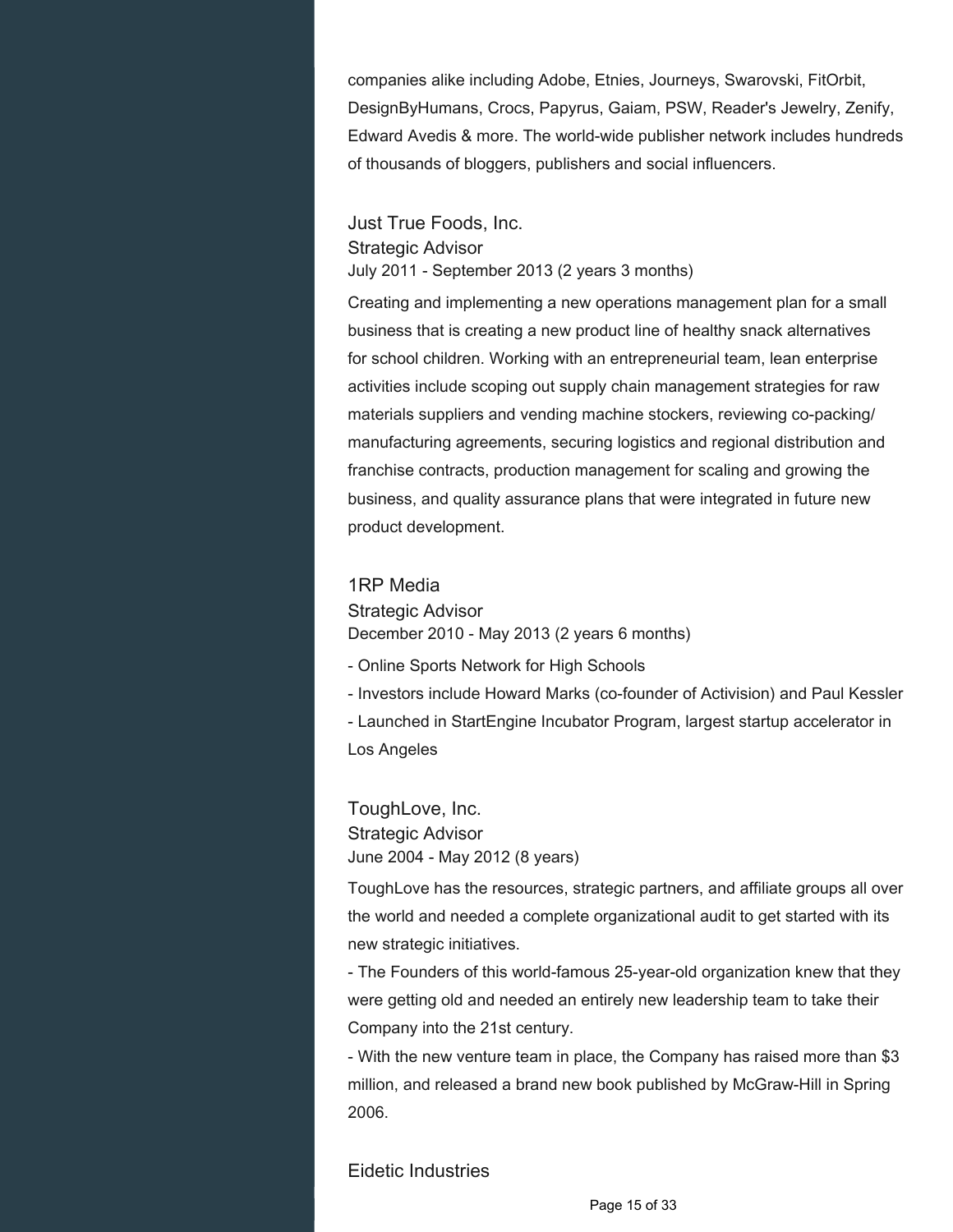companies alike including Adobe, Etnies, Journeys, Swarovski, FitOrbit, DesignByHumans, Crocs, Papyrus, Gaiam, PSW, Reader's Jewelry, Zenify, Edward Avedis & more. The world-wide publisher network includes hundreds of thousands of bloggers, publishers and social influencers.

Just True Foods, Inc. Strategic Advisor July 2011 - September 2013 (2 years 3 months)

Creating and implementing a new operations management plan for a small business that is creating a new product line of healthy snack alternatives for school children. Working with an entrepreneurial team, lean enterprise activities include scoping out supply chain management strategies for raw materials suppliers and vending machine stockers, reviewing co-packing/ manufacturing agreements, securing logistics and regional distribution and franchise contracts, production management for scaling and growing the business, and quality assurance plans that were integrated in future new product development.

#### 1RP Media

Strategic Advisor December 2010 - May 2013 (2 years 6 months)

- Online Sports Network for High Schools
- Investors include Howard Marks (co-founder of Activision) and Paul Kessler
- Launched in StartEngine Incubator Program, largest startup accelerator in Los Angeles

ToughLove, Inc. Strategic Advisor June 2004 - May 2012 (8 years)

ToughLove has the resources, strategic partners, and affiliate groups all over the world and needed a complete organizational audit to get started with its new strategic initiatives.

- The Founders of this world-famous 25-year-old organization knew that they were getting old and needed an entirely new leadership team to take their Company into the 21st century.

- With the new venture team in place, the Company has raised more than \$3 million, and released a brand new book published by McGraw-Hill in Spring 2006.

#### Eidetic Industries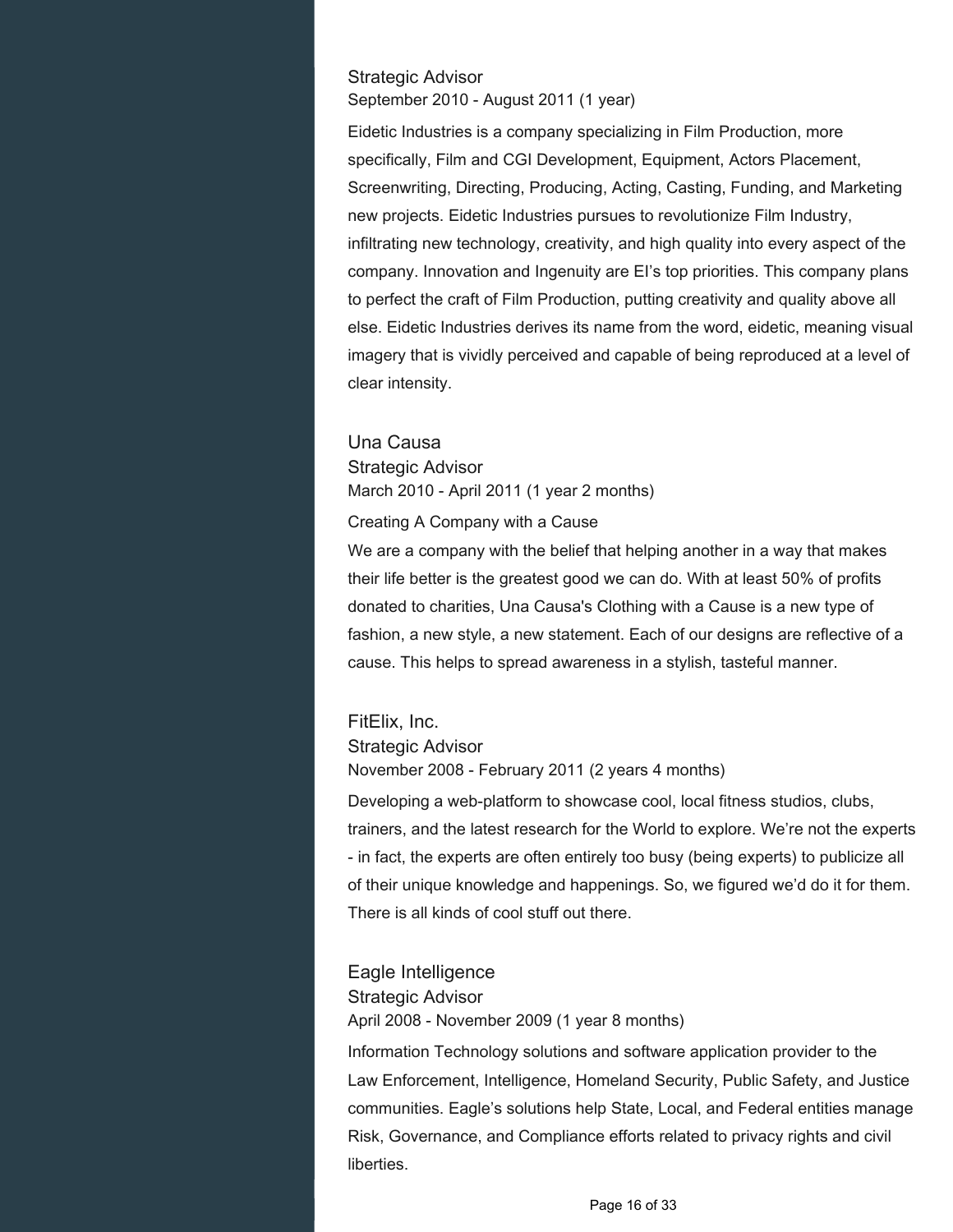#### Strategic Advisor September 2010 - August 2011 (1 year)

Eidetic Industries is a company specializing in Film Production, more specifically, Film and CGI Development, Equipment, Actors Placement, Screenwriting, Directing, Producing, Acting, Casting, Funding, and Marketing new projects. Eidetic Industries pursues to revolutionize Film Industry, infiltrating new technology, creativity, and high quality into every aspect of the company. Innovation and Ingenuity are EI's top priorities. This company plans to perfect the craft of Film Production, putting creativity and quality above all else. Eidetic Industries derives its name from the word, eidetic, meaning visual imagery that is vividly perceived and capable of being reproduced at a level of clear intensity.

## Una Causa Strategic Advisor March 2010 - April 2011 (1 year 2 months)

Creating A Company with a Cause

We are a company with the belief that helping another in a way that makes their life better is the greatest good we can do. With at least 50% of profits donated to charities, Una Causa's Clothing with a Cause is a new type of fashion, a new style, a new statement. Each of our designs are reflective of a cause. This helps to spread awareness in a stylish, tasteful manner.

## FitElix, Inc. Strategic Advisor

November 2008 - February 2011 (2 years 4 months)

Developing a web-platform to showcase cool, local fitness studios, clubs, trainers, and the latest research for the World to explore. We're not the experts - in fact, the experts are often entirely too busy (being experts) to publicize all of their unique knowledge and happenings. So, we figured we'd do it for them. There is all kinds of cool stuff out there.

## Eagle Intelligence Strategic Advisor April 2008 - November 2009 (1 year 8 months)

Information Technology solutions and software application provider to the Law Enforcement, Intelligence, Homeland Security, Public Safety, and Justice communities. Eagle's solutions help State, Local, and Federal entities manage Risk, Governance, and Compliance efforts related to privacy rights and civil liberties.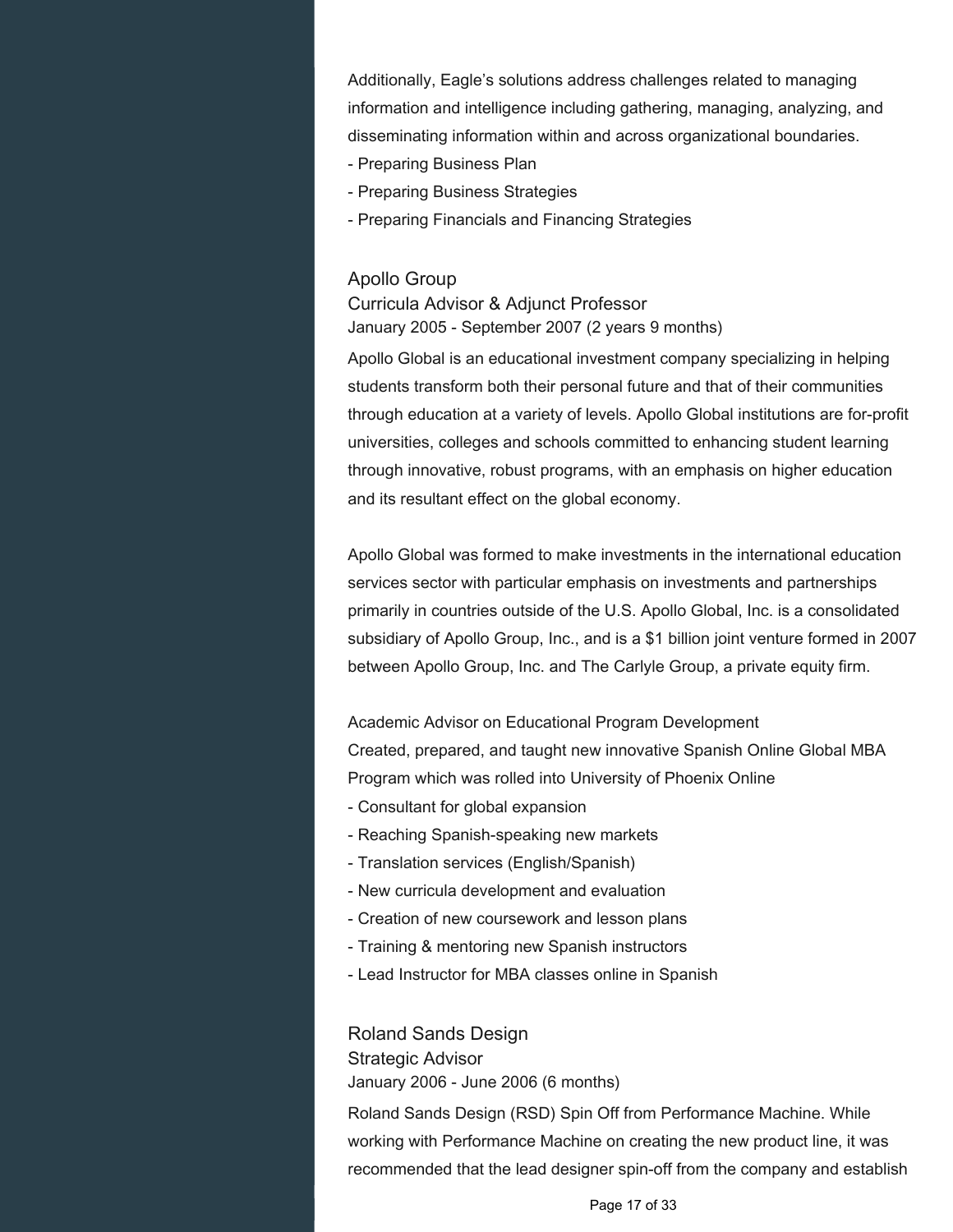Additionally, Eagle's solutions address challenges related to managing information and intelligence including gathering, managing, analyzing, and disseminating information within and across organizational boundaries.

- Preparing Business Plan
- Preparing Business Strategies
- Preparing Financials and Financing Strategies

#### Apollo Group

Curricula Advisor & Adjunct Professor January 2005 - September 2007 (2 years 9 months)

Apollo Global is an educational investment company specializing in helping students transform both their personal future and that of their communities through education at a variety of levels. Apollo Global institutions are for-profit universities, colleges and schools committed to enhancing student learning through innovative, robust programs, with an emphasis on higher education and its resultant effect on the global economy.

Apollo Global was formed to make investments in the international education services sector with particular emphasis on investments and partnerships primarily in countries outside of the U.S. Apollo Global, Inc. is a consolidated subsidiary of Apollo Group, Inc., and is a \$1 billion joint venture formed in 2007 between Apollo Group, Inc. and The Carlyle Group, a private equity firm.

Academic Advisor on Educational Program Development Created, prepared, and taught new innovative Spanish Online Global MBA Program which was rolled into University of Phoenix Online

- Consultant for global expansion
- Reaching Spanish-speaking new markets
- Translation services (English/Spanish)
- New curricula development and evaluation
- Creation of new coursework and lesson plans
- Training & mentoring new Spanish instructors
- Lead Instructor for MBA classes online in Spanish

Roland Sands Design Strategic Advisor January 2006 - June 2006 (6 months)

Roland Sands Design (RSD) Spin Off from Performance Machine. While working with Performance Machine on creating the new product line, it was recommended that the lead designer spin-off from the company and establish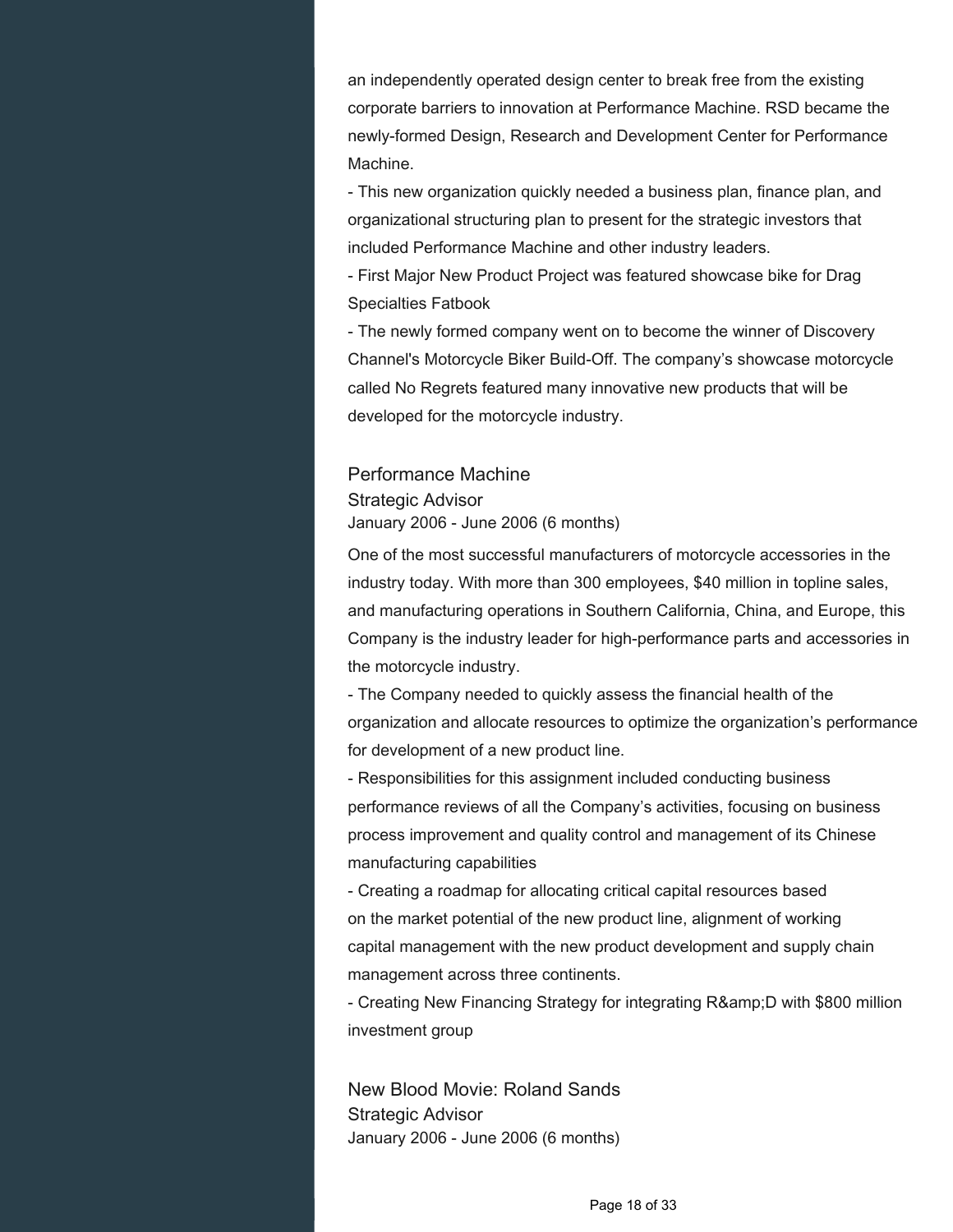an independently operated design center to break free from the existing corporate barriers to innovation at Performance Machine. RSD became the newly-formed Design, Research and Development Center for Performance Machine.

- This new organization quickly needed a business plan, finance plan, and organizational structuring plan to present for the strategic investors that included Performance Machine and other industry leaders.

- First Major New Product Project was featured showcase bike for Drag Specialties Fatbook

- The newly formed company went on to become the winner of Discovery Channel's Motorcycle Biker Build-Off. The company's showcase motorcycle called No Regrets featured many innovative new products that will be developed for the motorcycle industry.

## Performance Machine Strategic Advisor January 2006 - June 2006 (6 months)

One of the most successful manufacturers of motorcycle accessories in the industry today. With more than 300 employees, \$40 million in topline sales, and manufacturing operations in Southern California, China, and Europe, this Company is the industry leader for high-performance parts and accessories in the motorcycle industry.

- The Company needed to quickly assess the financial health of the organization and allocate resources to optimize the organization's performance for development of a new product line.

- Responsibilities for this assignment included conducting business performance reviews of all the Company's activities, focusing on business process improvement and quality control and management of its Chinese manufacturing capabilities

- Creating a roadmap for allocating critical capital resources based on the market potential of the new product line, alignment of working capital management with the new product development and supply chain management across three continents.

- Creating New Financing Strategy for integrating R& D with \$800 million investment group

New Blood Movie: Roland Sands Strategic Advisor January 2006 - June 2006 (6 months)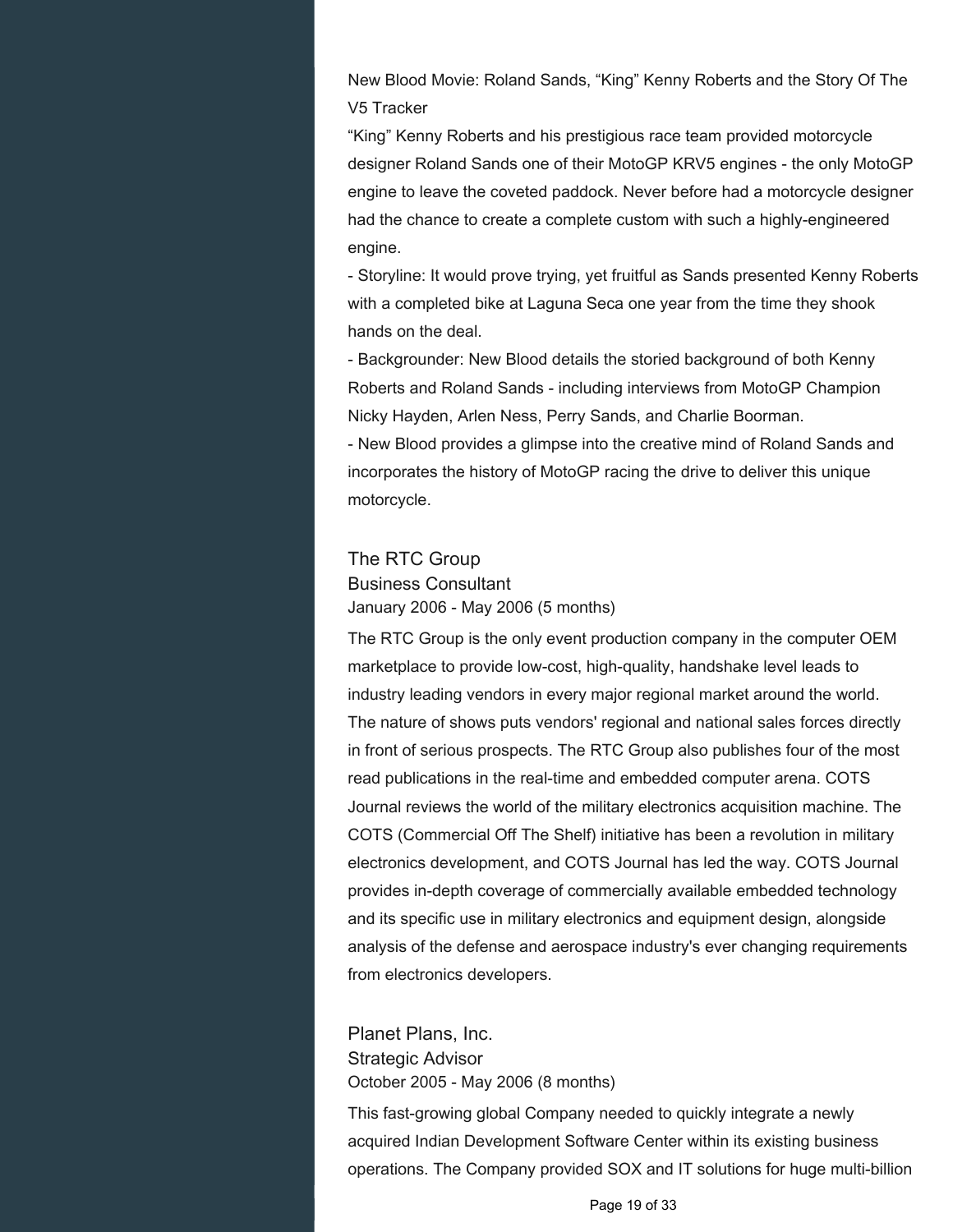New Blood Movie: Roland Sands, "King" Kenny Roberts and the Story Of The V5 Tracker

"King" Kenny Roberts and his prestigious race team provided motorcycle designer Roland Sands one of their MotoGP KRV5 engines - the only MotoGP engine to leave the coveted paddock. Never before had a motorcycle designer had the chance to create a complete custom with such a highly-engineered engine.

- Storyline: It would prove trying, yet fruitful as Sands presented Kenny Roberts with a completed bike at Laguna Seca one year from the time they shook hands on the deal.

- Backgrounder: New Blood details the storied background of both Kenny Roberts and Roland Sands - including interviews from MotoGP Champion Nicky Hayden, Arlen Ness, Perry Sands, and Charlie Boorman.

- New Blood provides a glimpse into the creative mind of Roland Sands and incorporates the history of MotoGP racing the drive to deliver this unique motorcycle.

#### The RTC Group

Business Consultant January 2006 - May 2006 (5 months)

The RTC Group is the only event production company in the computer OEM marketplace to provide low-cost, high-quality, handshake level leads to industry leading vendors in every major regional market around the world. The nature of shows puts vendors' regional and national sales forces directly in front of serious prospects. The RTC Group also publishes four of the most read publications in the real-time and embedded computer arena. COTS Journal reviews the world of the military electronics acquisition machine. The COTS (Commercial Off The Shelf) initiative has been a revolution in military electronics development, and COTS Journal has led the way. COTS Journal provides in-depth coverage of commercially available embedded technology and its specific use in military electronics and equipment design, alongside analysis of the defense and aerospace industry's ever changing requirements from electronics developers.

Planet Plans, Inc. Strategic Advisor October 2005 - May 2006 (8 months)

This fast-growing global Company needed to quickly integrate a newly acquired Indian Development Software Center within its existing business operations. The Company provided SOX and IT solutions for huge multi-billion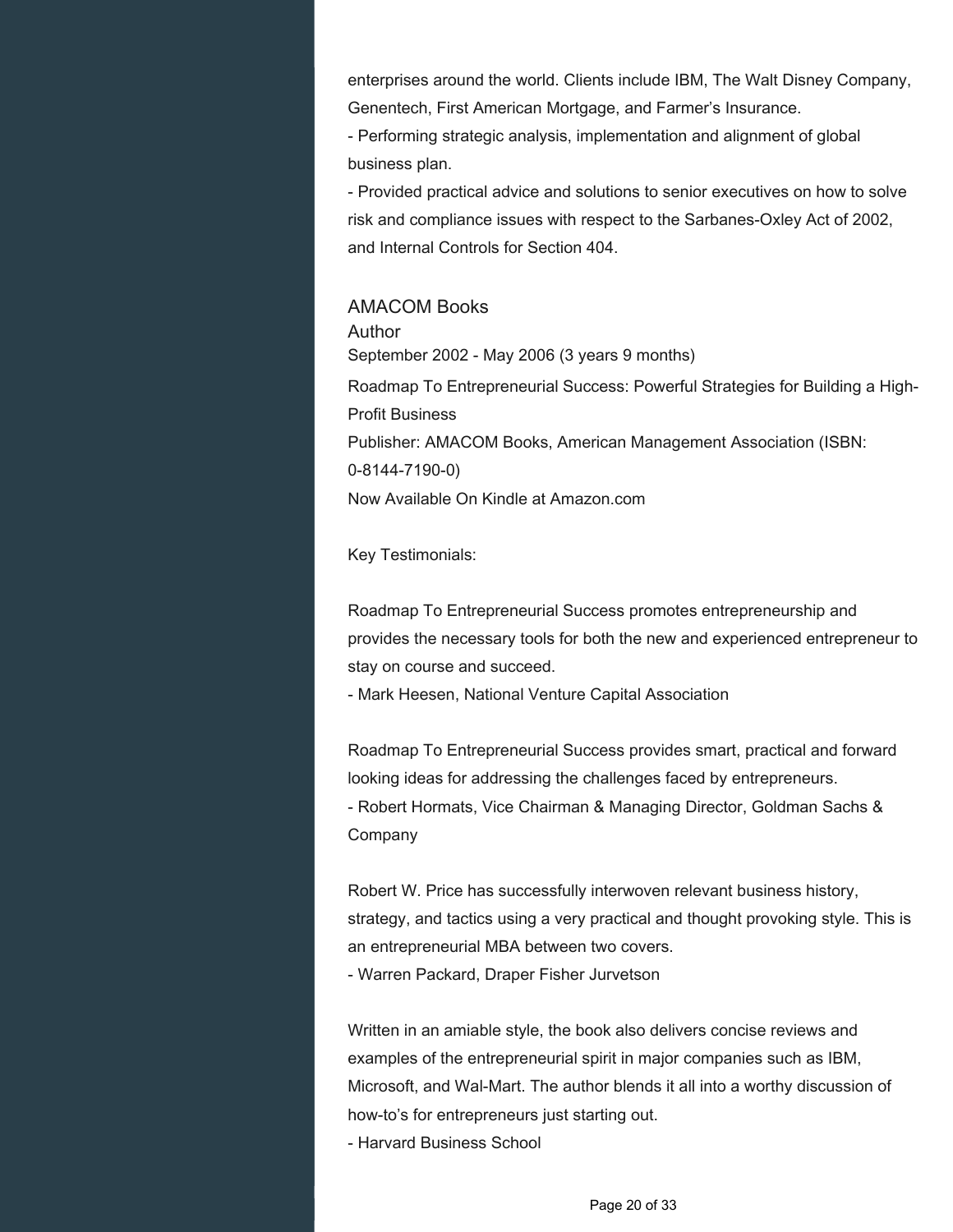enterprises around the world. Clients include IBM, The Walt Disney Company, Genentech, First American Mortgage, and Farmer's Insurance.

- Performing strategic analysis, implementation and alignment of global business plan.

- Provided practical advice and solutions to senior executives on how to solve risk and compliance issues with respect to the Sarbanes-Oxley Act of 2002, and Internal Controls for Section 404.

#### AMACOM Books

Author September 2002 - May 2006 (3 years 9 months) Roadmap To Entrepreneurial Success: Powerful Strategies for Building a High-Profit Business Publisher: AMACOM Books, American Management Association (ISBN: 0-8144-7190-0) Now Available On Kindle at Amazon.com

Key Testimonials:

Roadmap To Entrepreneurial Success promotes entrepreneurship and provides the necessary tools for both the new and experienced entrepreneur to stay on course and succeed.

- Mark Heesen, National Venture Capital Association

Roadmap To Entrepreneurial Success provides smart, practical and forward looking ideas for addressing the challenges faced by entrepreneurs. - Robert Hormats, Vice Chairman & Managing Director, Goldman Sachs & Company

Robert W. Price has successfully interwoven relevant business history, strategy, and tactics using a very practical and thought provoking style. This is an entrepreneurial MBA between two covers. - Warren Packard, Draper Fisher Jurvetson

Written in an amiable style, the book also delivers concise reviews and examples of the entrepreneurial spirit in major companies such as IBM, Microsoft, and Wal-Mart. The author blends it all into a worthy discussion of how-to's for entrepreneurs just starting out.

- Harvard Business School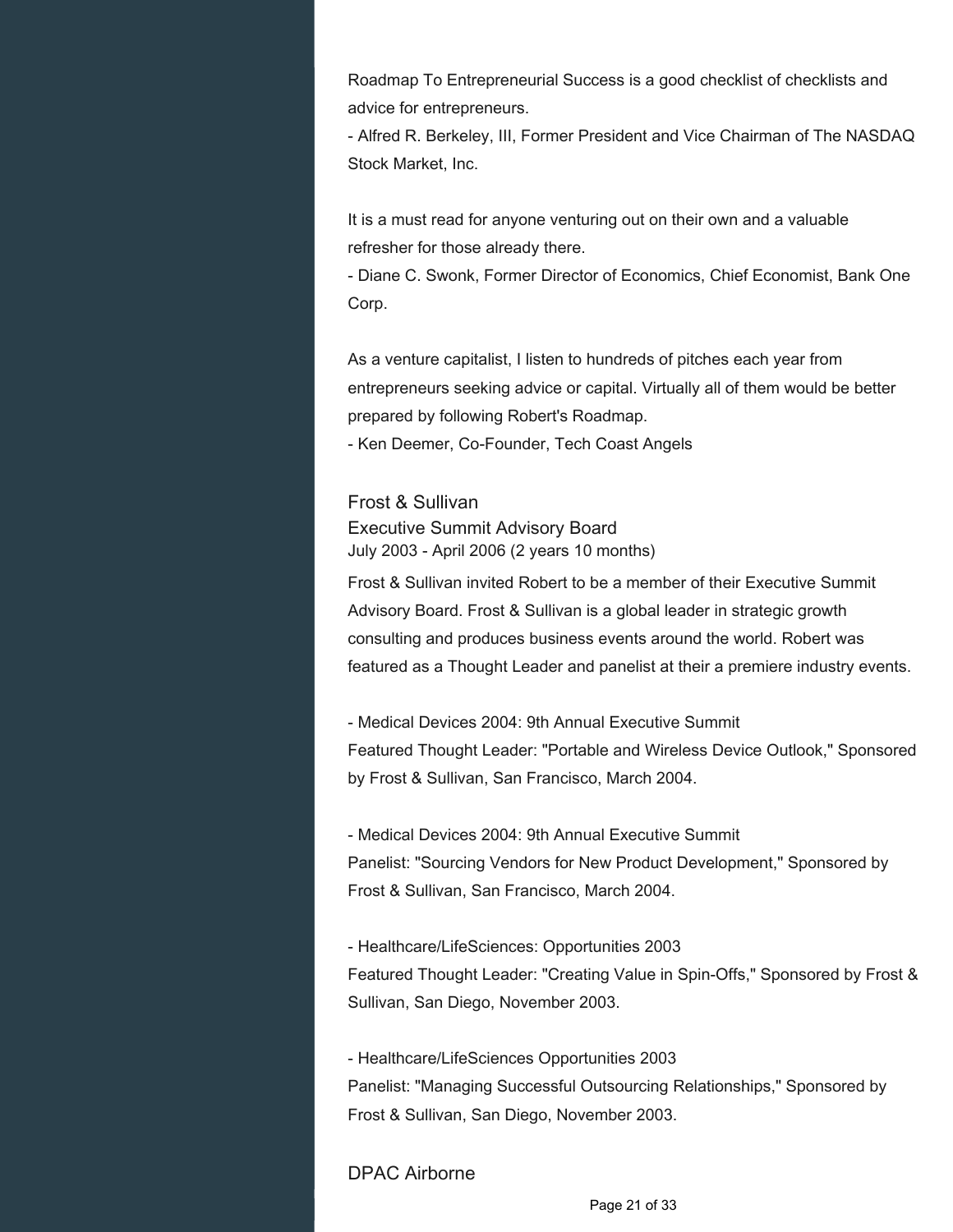Roadmap To Entrepreneurial Success is a good checklist of checklists and advice for entrepreneurs.

- Alfred R. Berkeley, III, Former President and Vice Chairman of The NASDAQ Stock Market, Inc.

It is a must read for anyone venturing out on their own and a valuable refresher for those already there.

- Diane C. Swonk, Former Director of Economics, Chief Economist, Bank One Corp.

As a venture capitalist, I listen to hundreds of pitches each year from entrepreneurs seeking advice or capital. Virtually all of them would be better prepared by following Robert's Roadmap.

- Ken Deemer, Co-Founder, Tech Coast Angels

## Frost & Sullivan Executive Summit Advisory Board July 2003 - April 2006 (2 years 10 months)

Frost & Sullivan invited Robert to be a member of their Executive Summit Advisory Board. Frost & Sullivan is a global leader in strategic growth consulting and produces business events around the world. Robert was featured as a Thought Leader and panelist at their a premiere industry events.

- Medical Devices 2004: 9th Annual Executive Summit Featured Thought Leader: "Portable and Wireless Device Outlook," Sponsored by Frost & Sullivan, San Francisco, March 2004.

- Medical Devices 2004: 9th Annual Executive Summit Panelist: "Sourcing Vendors for New Product Development," Sponsored by Frost & Sullivan, San Francisco, March 2004.

- Healthcare/LifeSciences: Opportunities 2003 Featured Thought Leader: "Creating Value in Spin-Offs," Sponsored by Frost & Sullivan, San Diego, November 2003.

- Healthcare/LifeSciences Opportunities 2003 Panelist: "Managing Successful Outsourcing Relationships," Sponsored by Frost & Sullivan, San Diego, November 2003.

## DPAC Airborne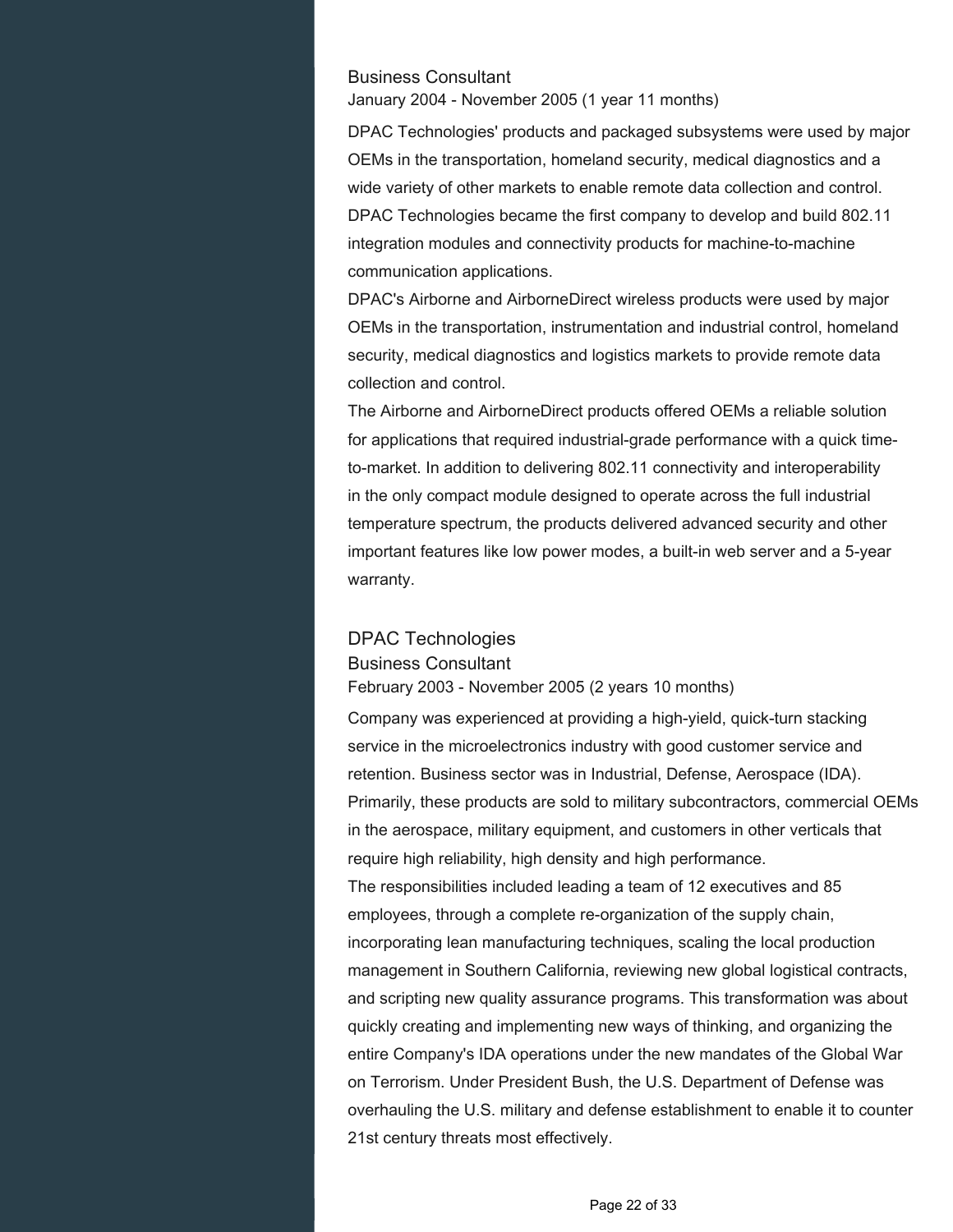#### Business Consultant

January 2004 - November 2005 (1 year 11 months)

DPAC Technologies' products and packaged subsystems were used by major OEMs in the transportation, homeland security, medical diagnostics and a wide variety of other markets to enable remote data collection and control. DPAC Technologies became the first company to develop and build 802.11 integration modules and connectivity products for machine-to-machine communication applications.

DPAC's Airborne and AirborneDirect wireless products were used by major OEMs in the transportation, instrumentation and industrial control, homeland security, medical diagnostics and logistics markets to provide remote data collection and control.

The Airborne and AirborneDirect products offered OEMs a reliable solution for applications that required industrial-grade performance with a quick timeto-market. In addition to delivering 802.11 connectivity and interoperability in the only compact module designed to operate across the full industrial temperature spectrum, the products delivered advanced security and other important features like low power modes, a built-in web server and a 5-year warranty.

#### DPAC Technologies

Business Consultant

February 2003 - November 2005 (2 years 10 months)

Company was experienced at providing a high-yield, quick-turn stacking service in the microelectronics industry with good customer service and retention. Business sector was in Industrial, Defense, Aerospace (IDA). Primarily, these products are sold to military subcontractors, commercial OEMs in the aerospace, military equipment, and customers in other verticals that require high reliability, high density and high performance.

The responsibilities included leading a team of 12 executives and 85 employees, through a complete re-organization of the supply chain, incorporating lean manufacturing techniques, scaling the local production management in Southern California, reviewing new global logistical contracts, and scripting new quality assurance programs. This transformation was about quickly creating and implementing new ways of thinking, and organizing the entire Company's IDA operations under the new mandates of the Global War on Terrorism. Under President Bush, the U.S. Department of Defense was overhauling the U.S. military and defense establishment to enable it to counter 21st century threats most effectively.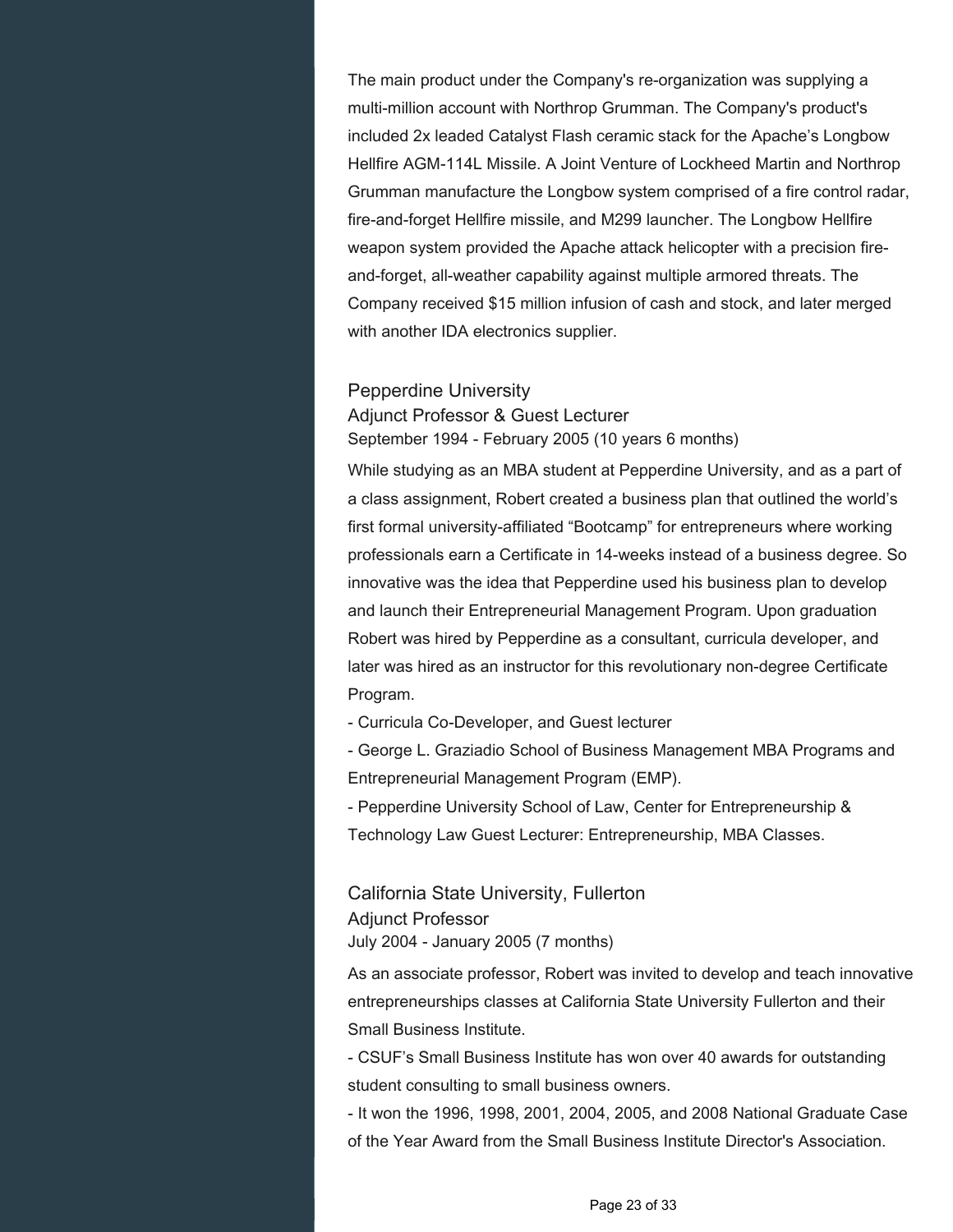The main product under the Company's re-organization was supplying a multi-million account with Northrop Grumman. The Company's product's included 2x leaded Catalyst Flash ceramic stack for the Apache's Longbow Hellfire AGM-114L Missile. A Joint Venture of Lockheed Martin and Northrop Grumman manufacture the Longbow system comprised of a fire control radar, fire-and-forget Hellfire missile, and M299 launcher. The Longbow Hellfire weapon system provided the Apache attack helicopter with a precision fireand-forget, all-weather capability against multiple armored threats. The Company received \$15 million infusion of cash and stock, and later merged with another IDA electronics supplier.

#### Pepperdine University

Adjunct Professor & Guest Lecturer September 1994 - February 2005 (10 years 6 months)

While studying as an MBA student at Pepperdine University, and as a part of a class assignment, Robert created a business plan that outlined the world's first formal university-affiliated "Bootcamp" for entrepreneurs where working professionals earn a Certificate in 14-weeks instead of a business degree. So innovative was the idea that Pepperdine used his business plan to develop and launch their Entrepreneurial Management Program. Upon graduation Robert was hired by Pepperdine as a consultant, curricula developer, and later was hired as an instructor for this revolutionary non-degree Certificate Program.

- Curricula Co-Developer, and Guest lecturer

- George L. Graziadio School of Business Management MBA Programs and Entrepreneurial Management Program (EMP).

- Pepperdine University School of Law, Center for Entrepreneurship & Technology Law Guest Lecturer: Entrepreneurship, MBA Classes.

California State University, Fullerton Adjunct Professor July 2004 - January 2005 (7 months)

As an associate professor, Robert was invited to develop and teach innovative entrepreneurships classes at California State University Fullerton and their Small Business Institute.

- CSUF's Small Business Institute has won over 40 awards for outstanding student consulting to small business owners.

- It won the 1996, 1998, 2001, 2004, 2005, and 2008 National Graduate Case of the Year Award from the Small Business Institute Director's Association.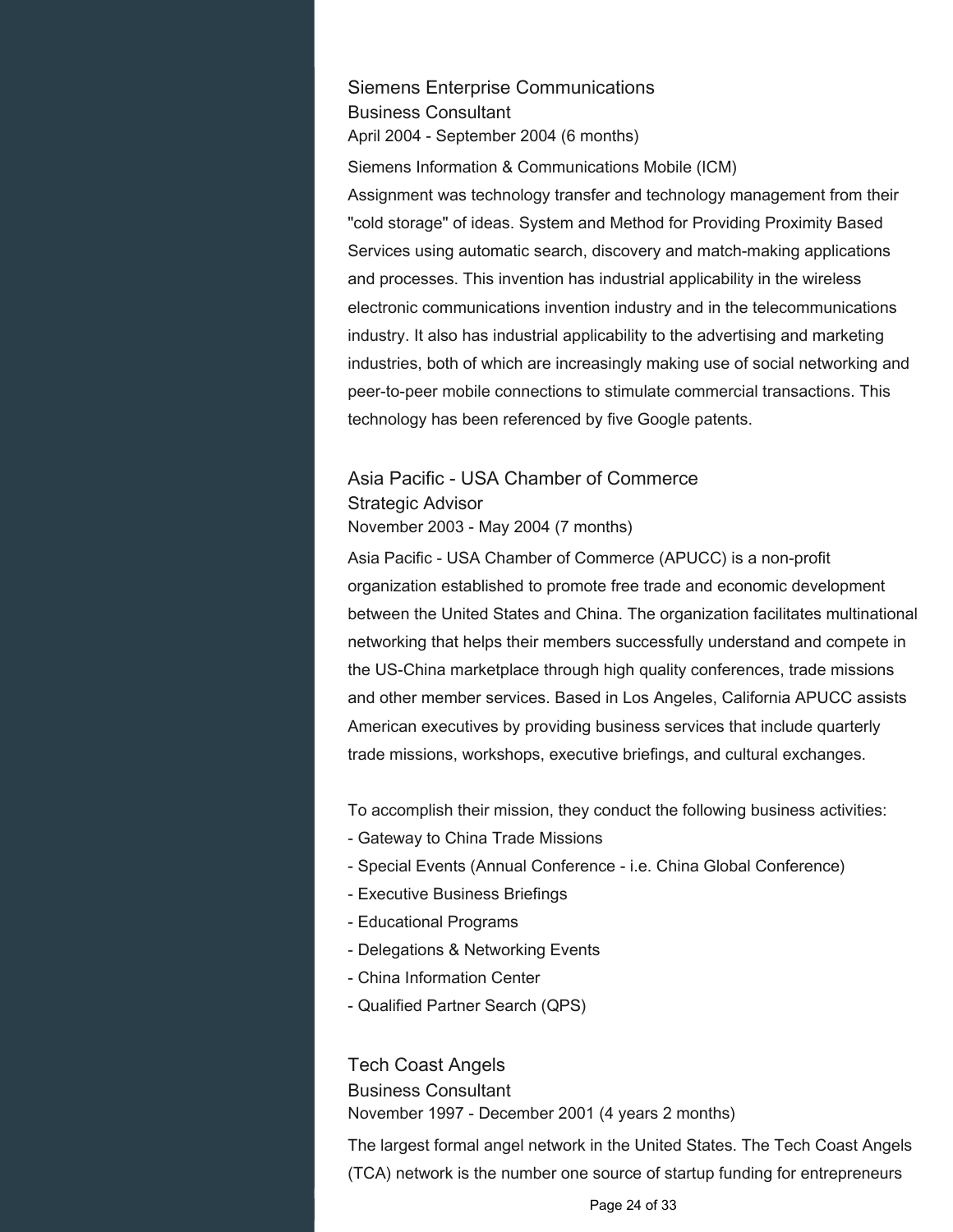Siemens Enterprise Communications Business Consultant April 2004 - September 2004 (6 months)

Siemens Information & Communications Mobile (ICM) Assignment was technology transfer and technology management from their "cold storage" of ideas. System and Method for Providing Proximity Based Services using automatic search, discovery and match-making applications and processes. This invention has industrial applicability in the wireless electronic communications invention industry and in the telecommunications industry. It also has industrial applicability to the advertising and marketing industries, both of which are increasingly making use of social networking and peer-to-peer mobile connections to stimulate commercial transactions. This technology has been referenced by five Google patents.

## Asia Pacific - USA Chamber of Commerce Strategic Advisor November 2003 - May 2004 (7 months)

Asia Pacific - USA Chamber of Commerce (APUCC) is a non-profit organization established to promote free trade and economic development between the United States and China. The organization facilitates multinational networking that helps their members successfully understand and compete in the US-China marketplace through high quality conferences, trade missions and other member services. Based in Los Angeles, California APUCC assists American executives by providing business services that include quarterly trade missions, workshops, executive briefings, and cultural exchanges.

To accomplish their mission, they conduct the following business activities:

- Gateway to China Trade Missions
- Special Events (Annual Conference i.e. China Global Conference)
- Executive Business Briefings
- Educational Programs
- Delegations & Networking Events
- China Information Center
- Qualified Partner Search (QPS)

Tech Coast Angels

Business Consultant

November 1997 - December 2001 (4 years 2 months)

The largest formal angel network in the United States. The Tech Coast Angels (TCA) network is the number one source of startup funding for entrepreneurs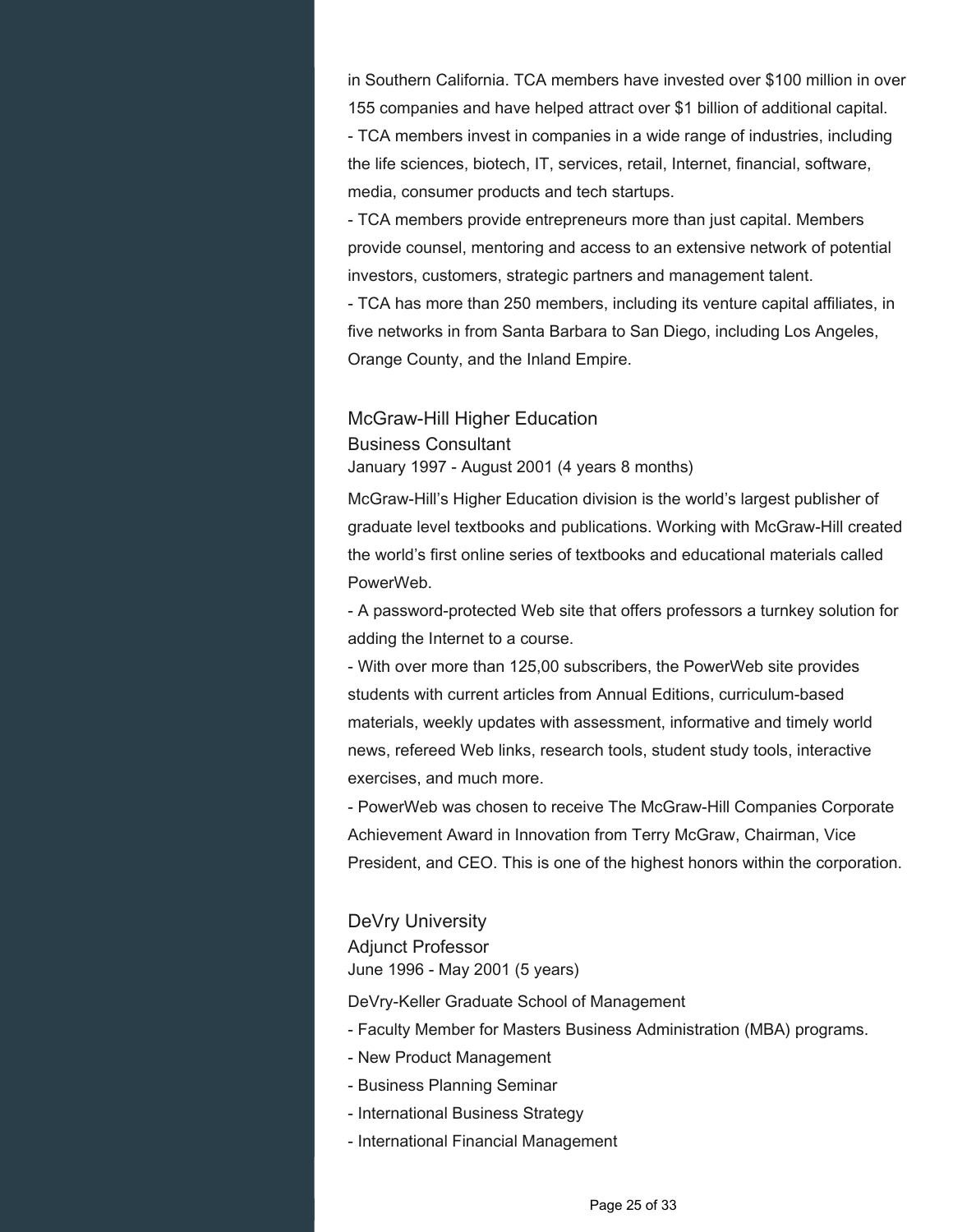in Southern California. TCA members have invested over \$100 million in over 155 companies and have helped attract over \$1 billion of additional capital. - TCA members invest in companies in a wide range of industries, including the life sciences, biotech, IT, services, retail, Internet, financial, software,

media, consumer products and tech startups.

- TCA members provide entrepreneurs more than just capital. Members provide counsel, mentoring and access to an extensive network of potential investors, customers, strategic partners and management talent.

- TCA has more than 250 members, including its venture capital affiliates, in five networks in from Santa Barbara to San Diego, including Los Angeles, Orange County, and the Inland Empire.

## McGraw-Hill Higher Education Business Consultant January 1997 - August 2001 (4 years 8 months)

McGraw-Hill's Higher Education division is the world's largest publisher of graduate level textbooks and publications. Working with McGraw-Hill created the world's first online series of textbooks and educational materials called PowerWeb.

- A password-protected Web site that offers professors a turnkey solution for adding the Internet to a course.

- With over more than 125,00 subscribers, the PowerWeb site provides students with current articles from Annual Editions, curriculum-based materials, weekly updates with assessment, informative and timely world news, refereed Web links, research tools, student study tools, interactive exercises, and much more.

- PowerWeb was chosen to receive The McGraw-Hill Companies Corporate Achievement Award in Innovation from Terry McGraw, Chairman, Vice President, and CEO. This is one of the highest honors within the corporation.

## DeVry University Adjunct Professor June 1996 - May 2001 (5 years)

DeVry-Keller Graduate School of Management

- Faculty Member for Masters Business Administration (MBA) programs.
- New Product Management
- Business Planning Seminar
- International Business Strategy
- International Financial Management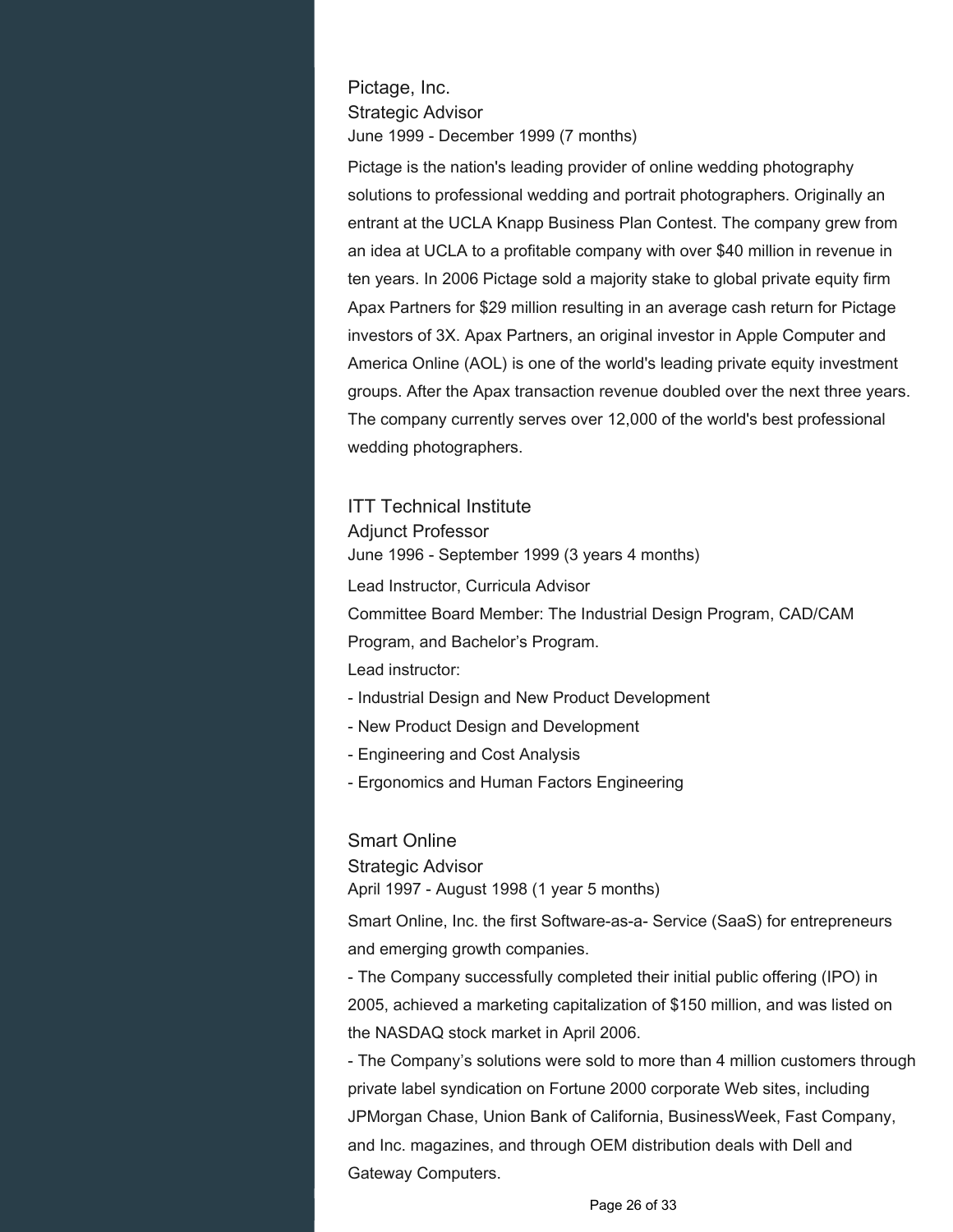Pictage, Inc. Strategic Advisor June 1999 - December 1999 (7 months)

Pictage is the nation's leading provider of online wedding photography solutions to professional wedding and portrait photographers. Originally an entrant at the UCLA Knapp Business Plan Contest. The company grew from an idea at UCLA to a profitable company with over \$40 million in revenue in ten years. In 2006 Pictage sold a majority stake to global private equity firm Apax Partners for \$29 million resulting in an average cash return for Pictage investors of 3X. Apax Partners, an original investor in Apple Computer and America Online (AOL) is one of the world's leading private equity investment groups. After the Apax transaction revenue doubled over the next three years. The company currently serves over 12,000 of the world's best professional wedding photographers.

ITT Technical Institute Adjunct Professor June 1996 - September 1999 (3 years 4 months) Lead Instructor, Curricula Advisor Committee Board Member: The Industrial Design Program, CAD/CAM Program, and Bachelor's Program. Lead instructor: - Industrial Design and New Product Development

- New Product Design and Development
- Engineering and Cost Analysis
- Ergonomics and Human Factors Engineering

#### Smart Online

Strategic Advisor April 1997 - August 1998 (1 year 5 months)

Smart Online, Inc. the first Software-as-a- Service (SaaS) for entrepreneurs and emerging growth companies.

- The Company successfully completed their initial public offering (IPO) in 2005, achieved a marketing capitalization of \$150 million, and was listed on the NASDAQ stock market in April 2006.

- The Company's solutions were sold to more than 4 million customers through private label syndication on Fortune 2000 corporate Web sites, including JPMorgan Chase, Union Bank of California, BusinessWeek, Fast Company, and Inc. magazines, and through OEM distribution deals with Dell and Gateway Computers.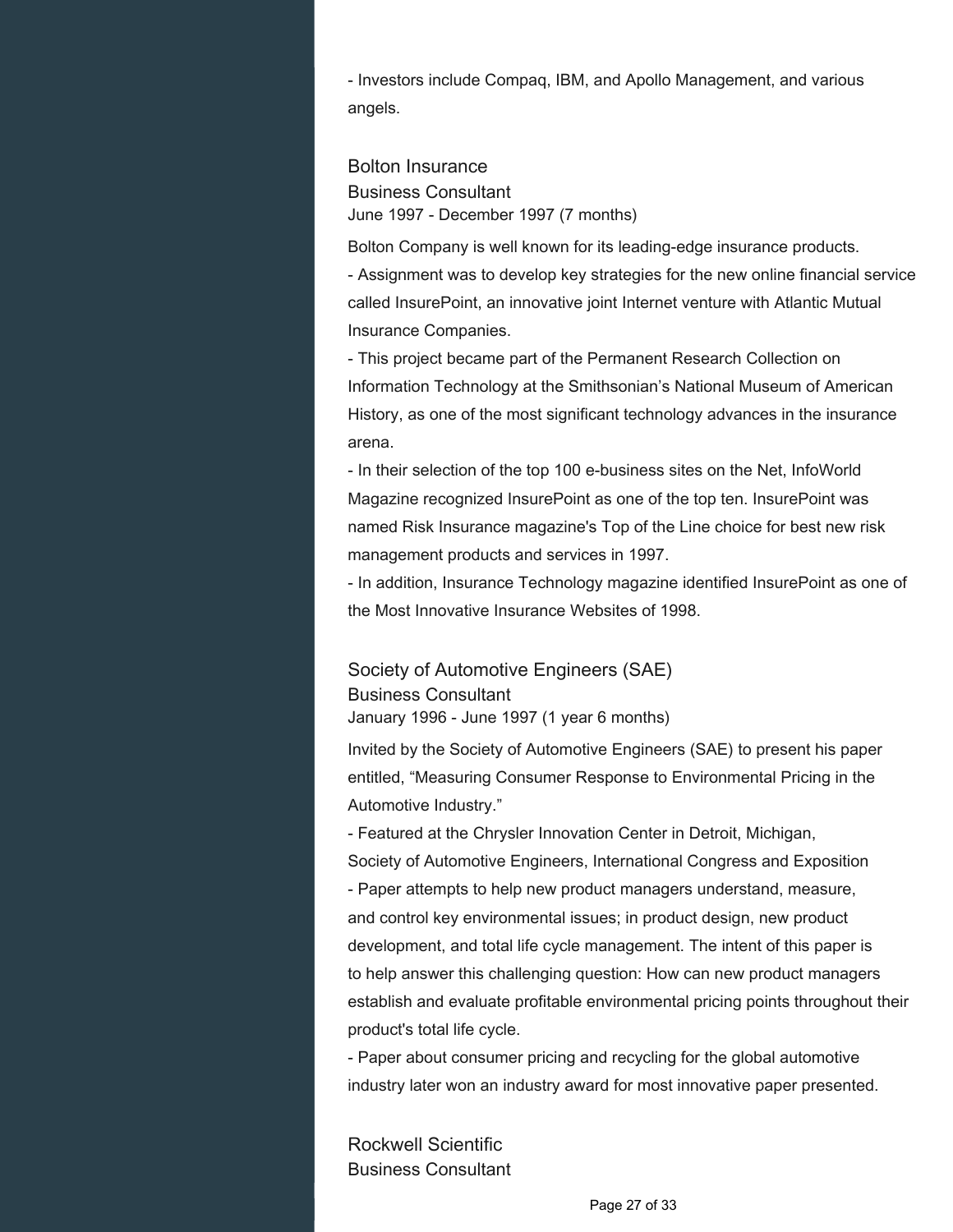- Investors include Compaq, IBM, and Apollo Management, and various angels.

Bolton Insurance Business Consultant June 1997 - December 1997 (7 months)

Bolton Company is well known for its leading-edge insurance products. - Assignment was to develop key strategies for the new online financial service called InsurePoint, an innovative joint Internet venture with Atlantic Mutual Insurance Companies.

- This project became part of the Permanent Research Collection on Information Technology at the Smithsonian's National Museum of American History, as one of the most significant technology advances in the insurance arena.

- In their selection of the top 100 e-business sites on the Net, InfoWorld Magazine recognized InsurePoint as one of the top ten. InsurePoint was named Risk Insurance magazine's Top of the Line choice for best new risk management products and services in 1997.

- In addition, Insurance Technology magazine identified InsurePoint as one of the Most Innovative Insurance Websites of 1998.

Society of Automotive Engineers (SAE) Business Consultant January 1996 - June 1997 (1 year 6 months)

Invited by the Society of Automotive Engineers (SAE) to present his paper entitled, "Measuring Consumer Response to Environmental Pricing in the Automotive Industry."

- Featured at the Chrysler Innovation Center in Detroit, Michigan, Society of Automotive Engineers, International Congress and Exposition - Paper attempts to help new product managers understand, measure, and control key environmental issues; in product design, new product development, and total life cycle management. The intent of this paper is to help answer this challenging question: How can new product managers establish and evaluate profitable environmental pricing points throughout their product's total life cycle.

- Paper about consumer pricing and recycling for the global automotive industry later won an industry award for most innovative paper presented.

Rockwell Scientific Business Consultant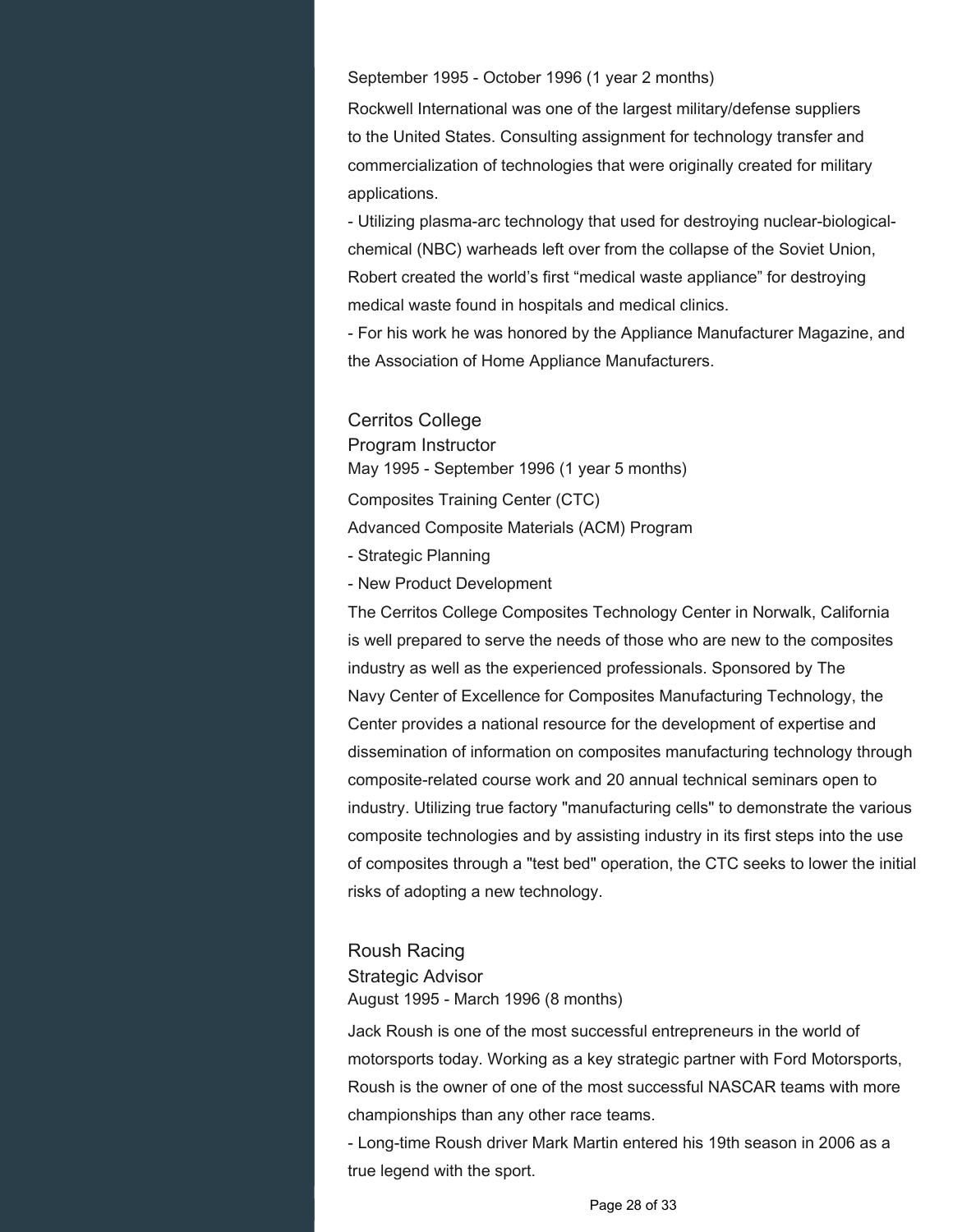September 1995 - October 1996 (1 year 2 months)

Rockwell International was one of the largest military/defense suppliers to the United States. Consulting assignment for technology transfer and commercialization of technologies that were originally created for military applications.

- Utilizing plasma-arc technology that used for destroying nuclear-biologicalchemical (NBC) warheads left over from the collapse of the Soviet Union, Robert created the world's first "medical waste appliance" for destroying medical waste found in hospitals and medical clinics.

- For his work he was honored by the Appliance Manufacturer Magazine, and the Association of Home Appliance Manufacturers.

Cerritos College Program Instructor May 1995 - September 1996 (1 year 5 months) Composites Training Center (CTC) Advanced Composite Materials (ACM) Program - Strategic Planning - New Product Development

The Cerritos College Composites Technology Center in Norwalk, California is well prepared to serve the needs of those who are new to the composites industry as well as the experienced professionals. Sponsored by The Navy Center of Excellence for Composites Manufacturing Technology, the Center provides a national resource for the development of expertise and dissemination of information on composites manufacturing technology through composite-related course work and 20 annual technical seminars open to industry. Utilizing true factory "manufacturing cells" to demonstrate the various composite technologies and by assisting industry in its first steps into the use of composites through a "test bed" operation, the CTC seeks to lower the initial risks of adopting a new technology.

Roush Racing Strategic Advisor August 1995 - March 1996 (8 months)

Jack Roush is one of the most successful entrepreneurs in the world of motorsports today. Working as a key strategic partner with Ford Motorsports, Roush is the owner of one of the most successful NASCAR teams with more championships than any other race teams.

- Long-time Roush driver Mark Martin entered his 19th season in 2006 as a true legend with the sport.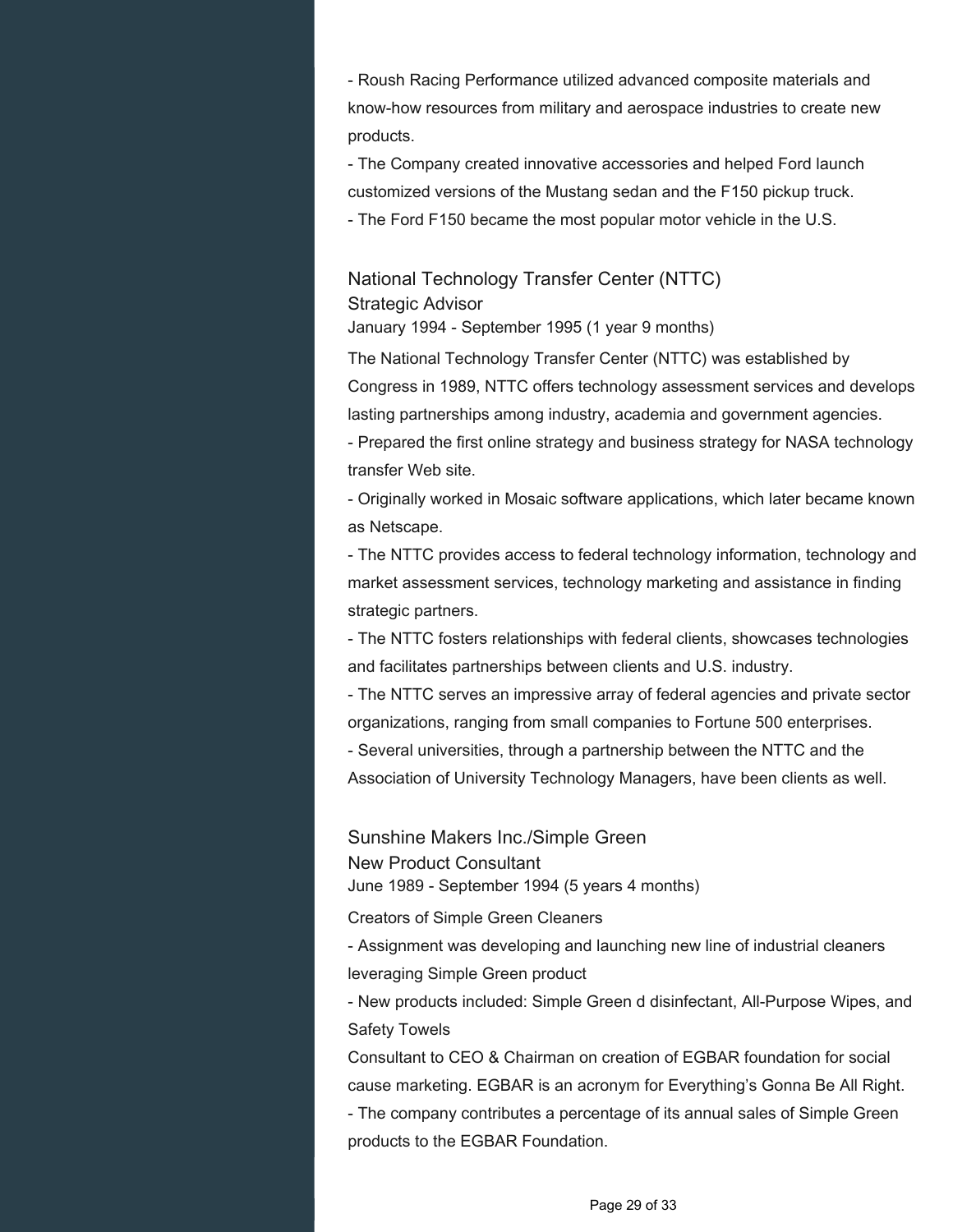- Roush Racing Performance utilized advanced composite materials and know-how resources from military and aerospace industries to create new products.

- The Company created innovative accessories and helped Ford launch customized versions of the Mustang sedan and the F150 pickup truck.

- The Ford F150 became the most popular motor vehicle in the U.S.

National Technology Transfer Center (NTTC) Strategic Advisor

January 1994 - September 1995 (1 year 9 months)

The National Technology Transfer Center (NTTC) was established by Congress in 1989, NTTC offers technology assessment services and develops lasting partnerships among industry, academia and government agencies.

- Prepared the first online strategy and business strategy for NASA technology transfer Web site.

- Originally worked in Mosaic software applications, which later became known as Netscape.

- The NTTC provides access to federal technology information, technology and market assessment services, technology marketing and assistance in finding strategic partners.

- The NTTC fosters relationships with federal clients, showcases technologies and facilitates partnerships between clients and U.S. industry.

- The NTTC serves an impressive array of federal agencies and private sector organizations, ranging from small companies to Fortune 500 enterprises.

- Several universities, through a partnership between the NTTC and the

Association of University Technology Managers, have been clients as well.

Sunshine Makers Inc./Simple Green New Product Consultant June 1989 - September 1994 (5 years 4 months)

Creators of Simple Green Cleaners

- Assignment was developing and launching new line of industrial cleaners leveraging Simple Green product

- New products included: Simple Green d disinfectant, All-Purpose Wipes, and Safety Towels

Consultant to CEO & Chairman on creation of EGBAR foundation for social cause marketing. EGBAR is an acronym for Everything's Gonna Be All Right.

- The company contributes a percentage of its annual sales of Simple Green products to the EGBAR Foundation.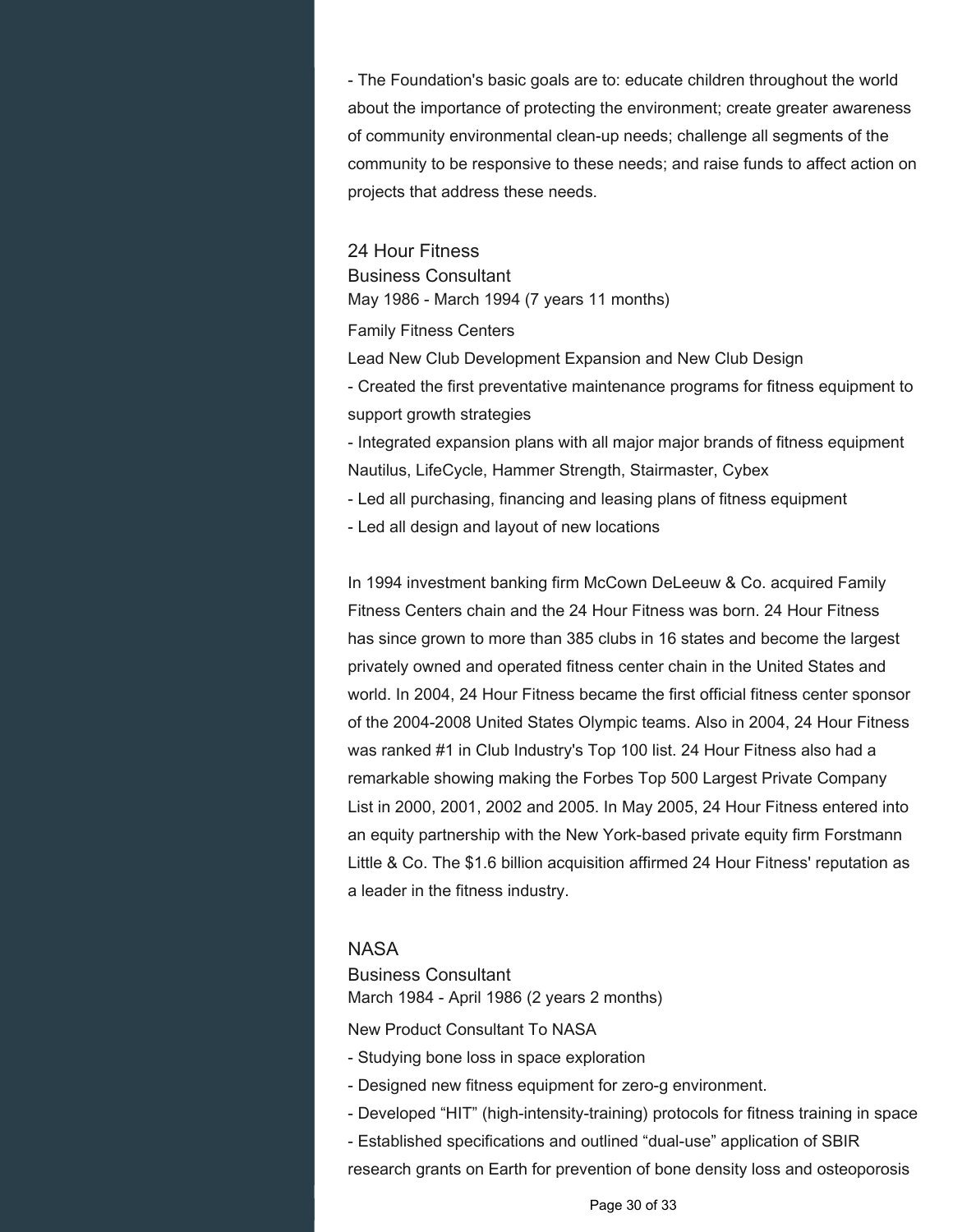- The Foundation's basic goals are to: educate children throughout the world about the importance of protecting the environment; create greater awareness of community environmental clean-up needs; challenge all segments of the community to be responsive to these needs; and raise funds to affect action on projects that address these needs.

24 Hour Fitness Business Consultant May 1986 - March 1994 (7 years 11 months)

Family Fitness Centers

Lead New Club Development Expansion and New Club Design

- Created the first preventative maintenance programs for fitness equipment to support growth strategies

- Integrated expansion plans with all major major brands of fitness equipment Nautilus, LifeCycle, Hammer Strength, Stairmaster, Cybex

- Led all purchasing, financing and leasing plans of fitness equipment

- Led all design and layout of new locations

In 1994 investment banking firm McCown DeLeeuw & Co. acquired Family Fitness Centers chain and the 24 Hour Fitness was born. 24 Hour Fitness has since grown to more than 385 clubs in 16 states and become the largest privately owned and operated fitness center chain in the United States and world. In 2004, 24 Hour Fitness became the first official fitness center sponsor of the 2004-2008 United States Olympic teams. Also in 2004, 24 Hour Fitness was ranked #1 in Club Industry's Top 100 list. 24 Hour Fitness also had a remarkable showing making the Forbes Top 500 Largest Private Company List in 2000, 2001, 2002 and 2005. In May 2005, 24 Hour Fitness entered into an equity partnership with the New York-based private equity firm Forstmann Little & Co. The \$1.6 billion acquisition affirmed 24 Hour Fitness' reputation as a leader in the fitness industry.

#### **NASA**

Business Consultant March 1984 - April 1986 (2 years 2 months)

New Product Consultant To NASA

- Studying bone loss in space exploration
- Designed new fitness equipment for zero-g environment.
- Developed "HIT" (high-intensity-training) protocols for fitness training in space
- Established specifications and outlined "dual-use" application of SBIR

research grants on Earth for prevention of bone density loss and osteoporosis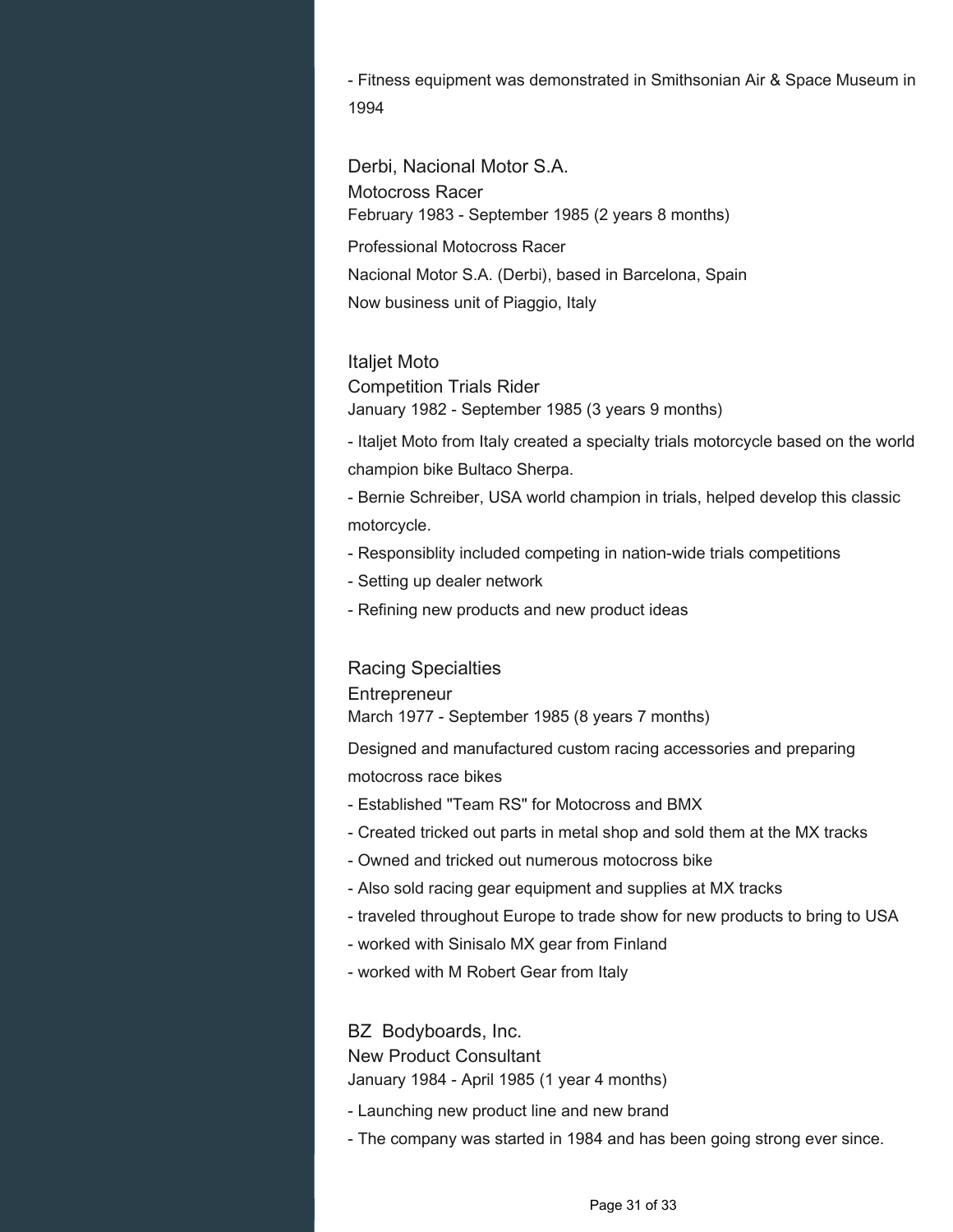- Fitness equipment was demonstrated in Smithsonian Air & Space Museum in 1994

Derbi, Nacional Motor S.A. Motocross Racer February 1983 - September 1985 (2 years 8 months) Professional Motocross Racer Nacional Motor S.A. (Derbi), based in Barcelona, Spain Now business unit of Piaggio, Italy

#### Italjet Moto

Competition Trials Rider January 1982 - September 1985 (3 years 9 months)

- Italjet Moto from Italy created a specialty trials motorcycle based on the world champion bike Bultaco Sherpa.

- Bernie Schreiber, USA world champion in trials, helped develop this classic motorcycle.

- Responsiblity included competing in nation-wide trials competitions
- Setting up dealer network
- Refining new products and new product ideas

#### Racing Specialties

#### **Entrepreneur**

March 1977 - September 1985 (8 years 7 months)

Designed and manufactured custom racing accessories and preparing motocross race bikes

- Established "Team RS" for Motocross and BMX
- Created tricked out parts in metal shop and sold them at the MX tracks
- Owned and tricked out numerous motocross bike
- Also sold racing gear equipment and supplies at MX tracks
- traveled throughout Europe to trade show for new products to bring to USA
- worked with Sinisalo MX gear from Finland
- worked with M Robert Gear from Italy

BZ Bodyboards, Inc. New Product Consultant January 1984 - April 1985 (1 year 4 months)

- Launching new product line and new brand
- The company was started in 1984 and has been going strong ever since.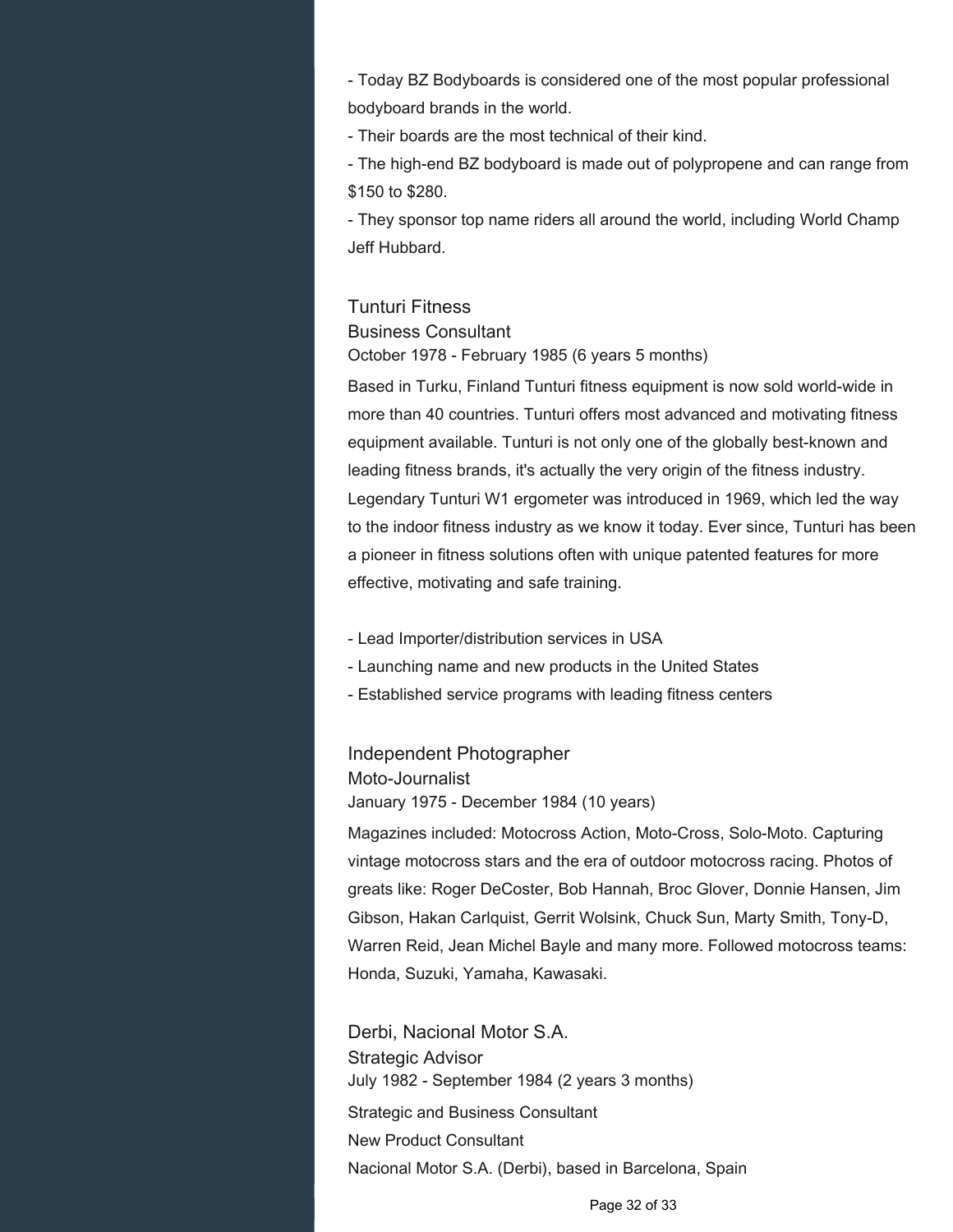- Today BZ Bodyboards is considered one of the most popular professional bodyboard brands in the world.

- Their boards are the most technical of their kind.

- The high-end BZ bodyboard is made out of polypropene and can range from \$150 to \$280.

- They sponsor top name riders all around the world, including World Champ Jeff Hubbard.

## Tunturi Fitness

Business Consultant

October 1978 - February 1985 (6 years 5 months)

Based in Turku, Finland Tunturi fitness equipment is now sold world-wide in more than 40 countries. Tunturi offers most advanced and motivating fitness equipment available. Tunturi is not only one of the globally best-known and leading fitness brands, it's actually the very origin of the fitness industry. Legendary Tunturi W1 ergometer was introduced in 1969, which led the way to the indoor fitness industry as we know it today. Ever since, Tunturi has been a pioneer in fitness solutions often with unique patented features for more effective, motivating and safe training.

- Lead Importer/distribution services in USA
- Launching name and new products in the United States
- Established service programs with leading fitness centers

# Independent Photographer

## Moto-Journalist

January 1975 - December 1984 (10 years)

Magazines included: Motocross Action, Moto-Cross, Solo-Moto. Capturing vintage motocross stars and the era of outdoor motocross racing. Photos of greats like: Roger DeCoster, Bob Hannah, Broc Glover, Donnie Hansen, Jim Gibson, Hakan Carlquist, Gerrit Wolsink, Chuck Sun, Marty Smith, Tony-D, Warren Reid, Jean Michel Bayle and many more. Followed motocross teams: Honda, Suzuki, Yamaha, Kawasaki.

Derbi, Nacional Motor S.A. Strategic Advisor July 1982 - September 1984 (2 years 3 months) Strategic and Business Consultant New Product Consultant Nacional Motor S.A. (Derbi), based in Barcelona, Spain